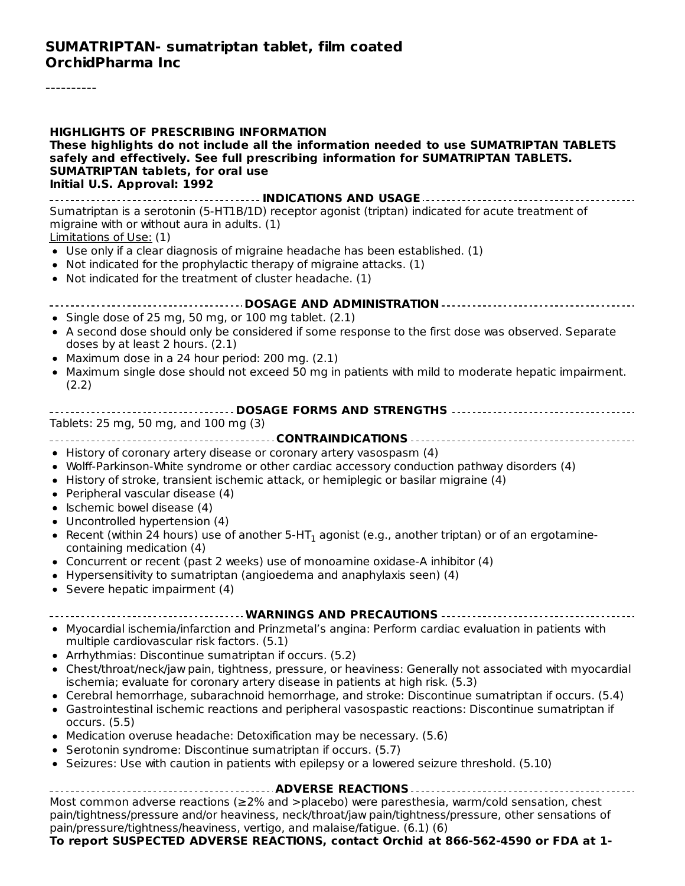----------

| <b>HIGHLIGHTS OF PRESCRIBING INFORMATION</b><br>These highlights do not include all the information needed to use SUMATRIPTAN TABLETS<br>safely and effectively. See full prescribing information for SUMATRIPTAN TABLETS.<br><b>SUMATRIPTAN tablets, for oral use</b><br>Initial U.S. Approval: 1992                               |
|-------------------------------------------------------------------------------------------------------------------------------------------------------------------------------------------------------------------------------------------------------------------------------------------------------------------------------------|
| Sumatriptan is a serotonin (5-HT1B/1D) receptor agonist (triptan) indicated for acute treatment of<br>migraine with or without aura in adults. (1)                                                                                                                                                                                  |
| Limitations of Use: (1)<br>• Use only if a clear diagnosis of migraine headache has been established. (1)<br>• Not indicated for the prophylactic therapy of migraine attacks. (1)<br>• Not indicated for the treatment of cluster headache. (1)                                                                                    |
| ---------------------------- DOSAGE AND ADMINISTRATION ---------------------------                                                                                                                                                                                                                                                  |
| • Single dose of 25 mg, 50 mg, or 100 mg tablet. (2.1)<br>• A second dose should only be considered if some response to the first dose was observed. Separate<br>doses by at least 2 hours. (2.1)<br>• Maximum dose in a 24 hour period: 200 mg. (2.1)                                                                              |
| • Maximum single dose should not exceed 50 mg in patients with mild to moderate hepatic impairment.<br>(2.2)                                                                                                                                                                                                                        |
|                                                                                                                                                                                                                                                                                                                                     |
| Tablets: 25 mg, 50 mg, and 100 mg (3)                                                                                                                                                                                                                                                                                               |
|                                                                                                                                                                                                                                                                                                                                     |
| • History of coronary artery disease or coronary artery vasospasm (4)<br>• Wolff-Parkinson-White syndrome or other cardiac accessory conduction pathway disorders (4)<br>• History of stroke, transient ischemic attack, or hemiplegic or basilar migraine (4)<br>• Peripheral vascular disease (4)<br>• Ischemic bowel disease (4) |
| • Uncontrolled hypertension (4)<br>• Recent (within 24 hours) use of another $5-HT_1$ agonist (e.g., another triptan) or of an ergotamine-<br>containing medication (4)                                                                                                                                                             |
| • Concurrent or recent (past 2 weeks) use of monoamine oxidase-A inhibitor (4)<br>• Hypersensitivity to sumatriptan (angioedema and anaphylaxis seen) (4)<br>• Severe hepatic impairment (4)                                                                                                                                        |
| ---------------------------------- WARNINGS AND PRECAUTIONS ------------------------------                                                                                                                                                                                                                                          |
| Myocardial ischemia/infarction and Prinzmetal's angina: Perform cardiac evaluation in patients with<br>multiple cardiovascular risk factors. (5.1)<br>• Arrhythmias: Discontinue sumatriptan if occurs. (5.2)                                                                                                                       |
| • Chest/throat/neck/jaw pain, tightness, pressure, or heaviness: Generally not associated with myocardial<br>ischemia; evaluate for coronary artery disease in patients at high risk. (5.3)                                                                                                                                         |
| • Cerebral hemorrhage, subarachnoid hemorrhage, and stroke: Discontinue sumatriptan if occurs. (5.4)<br>• Gastrointestinal ischemic reactions and peripheral vasospastic reactions: Discontinue sumatriptan if<br>occurs. (5.5)                                                                                                     |
| • Medication overuse headache: Detoxification may be necessary. (5.6)<br>• Serotonin syndrome: Discontinue sumatriptan if occurs. (5.7)<br>• Seizures: Use with caution in patients with epilepsy or a lowered seizure threshold. (5.10)                                                                                            |
|                                                                                                                                                                                                                                                                                                                                     |
| Most common adverse reactions (≥2% and >placebo) were paresthesia, warm/cold sensation, chest<br>pain/tightness/pressure and/or heaviness, neck/throat/jaw pain/tightness/pressure, other sensations of<br>pain/pressure/tightness/heaviness, vertigo, and malaise/fatigue. (6.1) (6)                                               |

**To report SUSPECTED ADVERSE REACTIONS, contact Orchid at 866-562-4590 or FDA at 1-**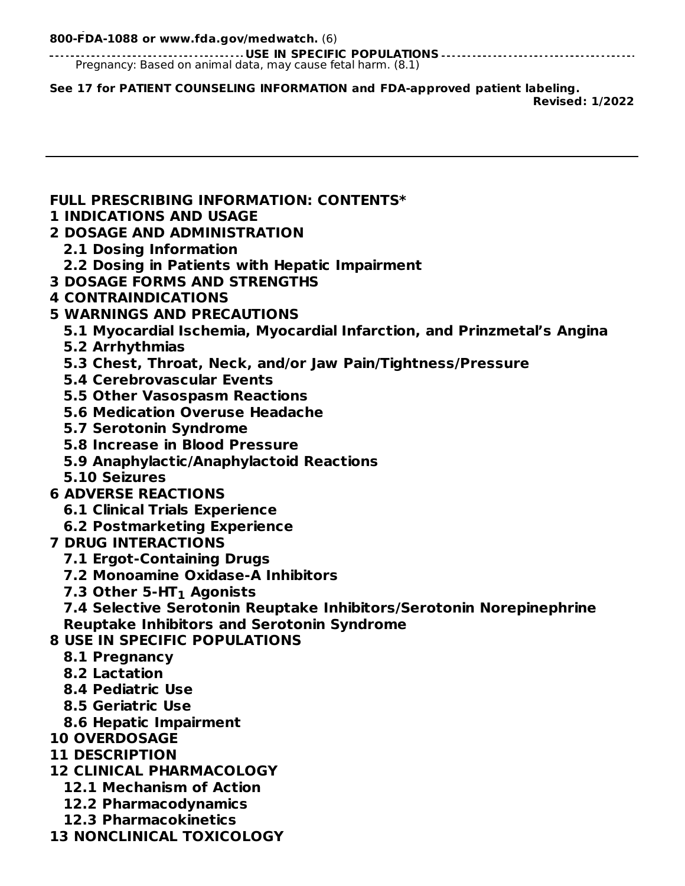**To report SUSPECTED ADVERSE REACTIONS, contact Orchid at 866-562-4590 or FDA at 1- 800-FDA-1088 or www.fda.gov/medwatch.** (6)

**USE IN SPECIFIC POPULATIONS** Pregnancy: Based on animal data, may cause fetal harm. (8.1)

**See 17 for PATIENT COUNSELING INFORMATION and FDA-approved patient labeling.**

**Revised: 1/2022**

**FULL PRESCRIBING INFORMATION: CONTENTS\***

**1 INDICATIONS AND USAGE**

#### **2 DOSAGE AND ADMINISTRATION**

- **2.1 Dosing Information**
- **2.2 Dosing in Patients with Hepatic Impairment**
- **3 DOSAGE FORMS AND STRENGTHS**
- **4 CONTRAINDICATIONS**
- **5 WARNINGS AND PRECAUTIONS**
	- **5.1 Myocardial Ischemia, Myocardial Infarction, and Prinzmetal's Angina**
	- **5.2 Arrhythmias**
	- **5.3 Chest, Throat, Neck, and/or Jaw Pain/Tightness/Pressure**
	- **5.4 Cerebrovascular Events**
	- **5.5 Other Vasospasm Reactions**
	- **5.6 Medication Overuse Headache**
	- **5.7 Serotonin Syndrome**
	- **5.8 Increase in Blood Pressure**
	- **5.9 Anaphylactic/Anaphylactoid Reactions**
	- **5.10 Seizures**
- **6 ADVERSE REACTIONS**
	- **6.1 Clinical Trials Experience**
	- **6.2 Postmarketing Experience**
- **7 DRUG INTERACTIONS**
	- **7.1 Ergot-Containing Drugs**
	- **7.2 Monoamine Oxidase-A Inhibitors**
	- **7.3 Other 5-HT Agonists 1**

**7.4 Selective Serotonin Reuptake Inhibitors/Serotonin Norepinephrine Reuptake Inhibitors and Serotonin Syndrome**

- **8 USE IN SPECIFIC POPULATIONS**
	- **8.1 Pregnancy**
	- **8.2 Lactation**
	- **8.4 Pediatric Use**
	- **8.5 Geriatric Use**
	- **8.6 Hepatic Impairment**
- **10 OVERDOSAGE**
- **11 DESCRIPTION**
- **12 CLINICAL PHARMACOLOGY**
	- **12.1 Mechanism of Action**
	- **12.2 Pharmacodynamics**
	- **12.3 Pharmacokinetics**
- **13 NONCLINICAL TOXICOLOGY**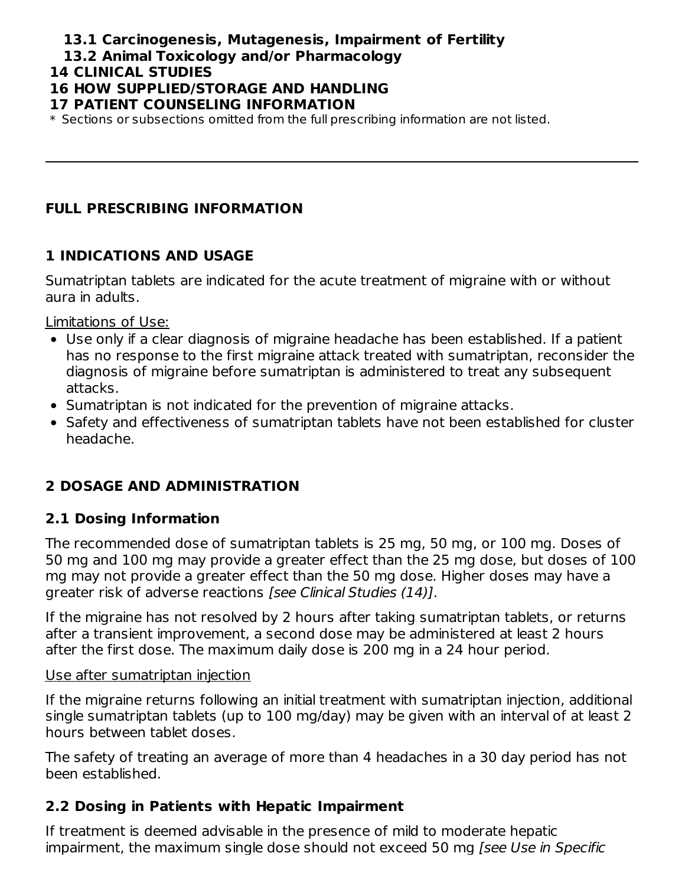### **13.1 Carcinogenesis, Mutagenesis, Impairment of Fertility**

**13.2 Animal Toxicology and/or Pharmacology**

#### **14 CLINICAL STUDIES**

#### **16 HOW SUPPLIED/STORAGE AND HANDLING**

#### **17 PATIENT COUNSELING INFORMATION**

\* Sections or subsections omitted from the full prescribing information are not listed.

#### **FULL PRESCRIBING INFORMATION**

#### **1 INDICATIONS AND USAGE**

Sumatriptan tablets are indicated for the acute treatment of migraine with or without aura in adults.

Limitations of Use:

- Use only if a clear diagnosis of migraine headache has been established. If a patient has no response to the first migraine attack treated with sumatriptan, reconsider the diagnosis of migraine before sumatriptan is administered to treat any subsequent attacks.
- Sumatriptan is not indicated for the prevention of migraine attacks.
- Safety and effectiveness of sumatriptan tablets have not been established for cluster headache.

### **2 DOSAGE AND ADMINISTRATION**

### **2.1 Dosing Information**

The recommended dose of sumatriptan tablets is 25 mg, 50 mg, or 100 mg. Doses of 50 mg and 100 mg may provide a greater effect than the 25 mg dose, but doses of 100 mg may not provide a greater effect than the 50 mg dose. Higher doses may have a greater risk of adverse reactions [see Clinical Studies (14)].

If the migraine has not resolved by 2 hours after taking sumatriptan tablets, or returns after a transient improvement, a second dose may be administered at least 2 hours after the first dose. The maximum daily dose is 200 mg in a 24 hour period.

#### Use after sumatriptan injection

If the migraine returns following an initial treatment with sumatriptan injection, additional single sumatriptan tablets (up to 100 mg/day) may be given with an interval of at least 2 hours between tablet doses.

The safety of treating an average of more than 4 headaches in a 30 day period has not been established.

### **2.2 Dosing in Patients with Hepatic Impairment**

If treatment is deemed advisable in the presence of mild to moderate hepatic impairment, the maximum single dose should not exceed 50 mg [see Use in Specific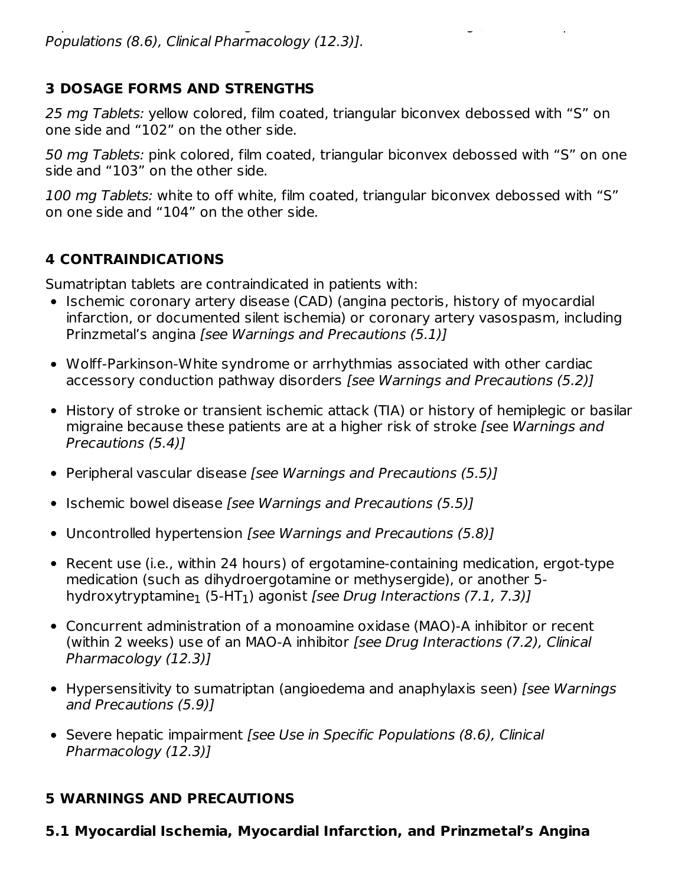### **3 DOSAGE FORMS AND STRENGTHS**

25 mg Tablets: yellow colored, film coated, triangular biconvex debossed with "S" on one side and "102" on the other side.

50 mg Tablets: pink colored, film coated, triangular biconvex debossed with "S" on one side and "103" on the other side.

100 mg Tablets: white to off white, film coated, triangular biconvex debossed with "S" on one side and "104" on the other side.

# **4 CONTRAINDICATIONS**

Sumatriptan tablets are contraindicated in patients with:

- Ischemic coronary artery disease (CAD) (angina pectoris, history of myocardial infarction, or documented silent ischemia) or coronary artery vasospasm, including Prinzmetal's angina [see Warnings and Precautions (5.1)]
- Wolff-Parkinson-White syndrome or arrhythmias associated with other cardiac accessory conduction pathway disorders [see Warnings and Precautions (5.2)]
- History of stroke or transient ischemic attack (TIA) or history of hemiplegic or basilar migraine because these patients are at a higher risk of stroke [see Warnings and Precautions (5.4)]
- Peripheral vascular disease [see Warnings and Precautions (5.5)]
- Ischemic bowel disease [see Warnings and Precautions (5.5)]
- Uncontrolled hypertension [see Warnings and Precautions (5.8)]
- Recent use (i.e., within 24 hours) of ergotamine-containing medication, ergot-type medication (such as dihydroergotamine or methysergide), or another 5 hydroxytryptamine $_1$  (5-HT $_1$ ) agonist *[see Drug Interactions (7.1, 7.3)]*
- Concurrent administration of a monoamine oxidase (MAO)-A inhibitor or recent (within 2 weeks) use of an MAO-A inhibitor [see Drug Interactions (7.2), Clinical Pharmacology (12.3)]
- Hypersensitivity to sumatriptan (angioedema and anaphylaxis seen) [see Warnings and Precautions (5.9)]
- Severe hepatic impairment [see Use in Specific Populations (8.6), Clinical Pharmacology (12.3)]

# **5 WARNINGS AND PRECAUTIONS**

**5.1 Myocardial Ischemia, Myocardial Infarction, and Prinzmetal's Angina**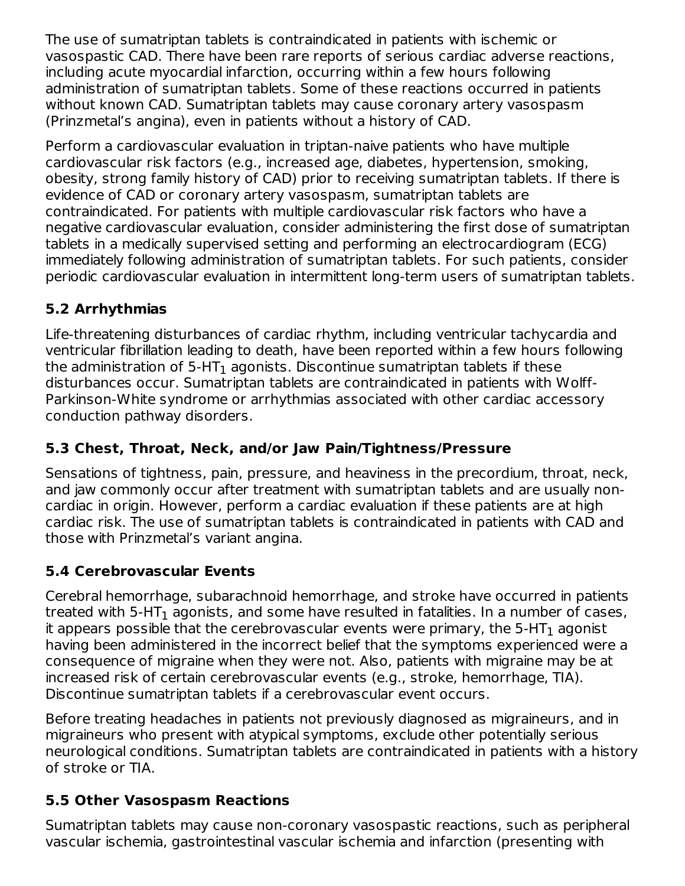The use of sumatriptan tablets is contraindicated in patients with ischemic or vasospastic CAD. There have been rare reports of serious cardiac adverse reactions, including acute myocardial infarction, occurring within a few hours following administration of sumatriptan tablets. Some of these reactions occurred in patients without known CAD. Sumatriptan tablets may cause coronary artery vasospasm (Prinzmetal's angina), even in patients without a history of CAD.

Perform a cardiovascular evaluation in triptan-naive patients who have multiple cardiovascular risk factors (e.g., increased age, diabetes, hypertension, smoking, obesity, strong family history of CAD) prior to receiving sumatriptan tablets. If there is evidence of CAD or coronary artery vasospasm, sumatriptan tablets are contraindicated. For patients with multiple cardiovascular risk factors who have a negative cardiovascular evaluation, consider administering the first dose of sumatriptan tablets in a medically supervised setting and performing an electrocardiogram (ECG) immediately following administration of sumatriptan tablets. For such patients, consider periodic cardiovascular evaluation in intermittent long-term users of sumatriptan tablets.

# **5.2 Arrhythmias**

Life-threatening disturbances of cardiac rhythm, including ventricular tachycardia and ventricular fibrillation leading to death, have been reported within a few hours following the administration of 5-HT $_{\rm 1}$  agonists. Discontinue sumatriptan tablets if these disturbances occur. Sumatriptan tablets are contraindicated in patients with Wolff-Parkinson-White syndrome or arrhythmias associated with other cardiac accessory conduction pathway disorders.

# **5.3 Chest, Throat, Neck, and/or Jaw Pain/Tightness/Pressure**

Sensations of tightness, pain, pressure, and heaviness in the precordium, throat, neck, and jaw commonly occur after treatment with sumatriptan tablets and are usually noncardiac in origin. However, perform a cardiac evaluation if these patients are at high cardiac risk. The use of sumatriptan tablets is contraindicated in patients with CAD and those with Prinzmetal's variant angina.

### **5.4 Cerebrovascular Events**

Cerebral hemorrhage, subarachnoid hemorrhage, and stroke have occurred in patients treated with 5-HT $_{\rm 1}$  agonists, and some have resulted in fatalities. In a number of cases, it appears possible that the cerebrovascular events were primary, the 5-HT $_{\rm 1}$  agonist having been administered in the incorrect belief that the symptoms experienced were a consequence of migraine when they were not. Also, patients with migraine may be at increased risk of certain cerebrovascular events (e.g., stroke, hemorrhage, TIA). Discontinue sumatriptan tablets if a cerebrovascular event occurs.

Before treating headaches in patients not previously diagnosed as migraineurs, and in migraineurs who present with atypical symptoms, exclude other potentially serious neurological conditions. Sumatriptan tablets are contraindicated in patients with a history of stroke or TIA.

### **5.5 Other Vasospasm Reactions**

Sumatriptan tablets may cause non-coronary vasospastic reactions, such as peripheral vascular ischemia, gastrointestinal vascular ischemia and infarction (presenting with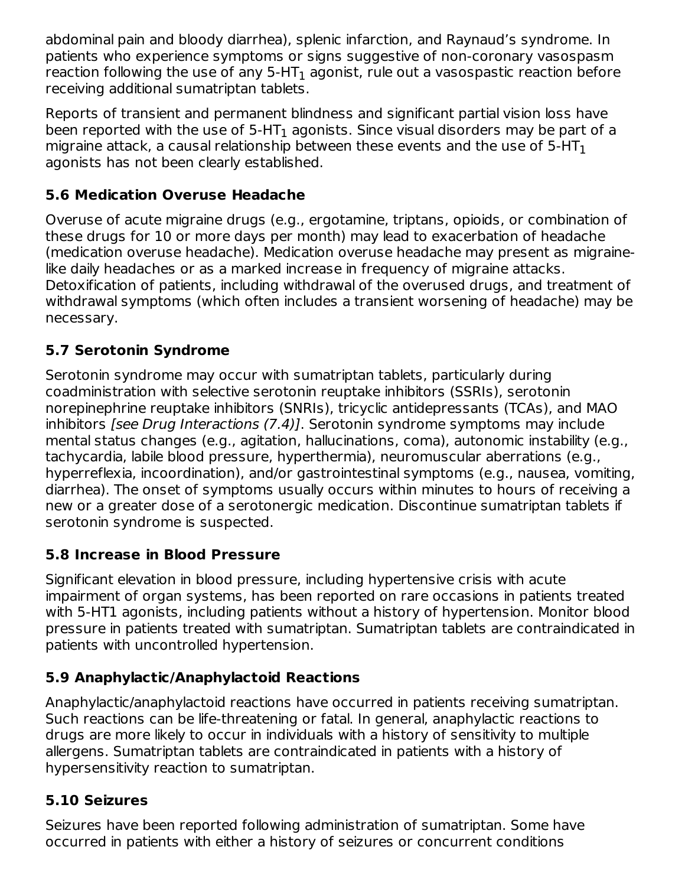abdominal pain and bloody diarrhea), splenic infarction, and Raynaud's syndrome. In patients who experience symptoms or signs suggestive of non-coronary vasospasm reaction following the use of any 5-HT $_{\rm 1}$  agonist, rule out a vasospastic reaction before receiving additional sumatriptan tablets.

Reports of transient and permanent blindness and significant partial vision loss have been reported with the use of 5-HT $_{\rm 1}$  agonists. Since visual disorders may be part of a migraine attack, a causal relationship between these events and the use of 5-HT $_{\rm 1}$ agonists has not been clearly established.

### **5.6 Medication Overuse Headache**

Overuse of acute migraine drugs (e.g., ergotamine, triptans, opioids, or combination of these drugs for 10 or more days per month) may lead to exacerbation of headache (medication overuse headache). Medication overuse headache may present as migrainelike daily headaches or as a marked increase in frequency of migraine attacks. Detoxification of patients, including withdrawal of the overused drugs, and treatment of withdrawal symptoms (which often includes a transient worsening of headache) may be necessary.

# **5.7 Serotonin Syndrome**

Serotonin syndrome may occur with sumatriptan tablets, particularly during coadministration with selective serotonin reuptake inhibitors (SSRIs), serotonin norepinephrine reuptake inhibitors (SNRIs), tricyclic antidepressants (TCAs), and MAO inhibitors [see Drug Interactions (7.4)]. Serotonin syndrome symptoms may include mental status changes (e.g., agitation, hallucinations, coma), autonomic instability (e.g., tachycardia, labile blood pressure, hyperthermia), neuromuscular aberrations (e.g., hyperreflexia, incoordination), and/or gastrointestinal symptoms (e.g., nausea, vomiting, diarrhea). The onset of symptoms usually occurs within minutes to hours of receiving a new or a greater dose of a serotonergic medication. Discontinue sumatriptan tablets if serotonin syndrome is suspected.

# **5.8 Increase in Blood Pressure**

Significant elevation in blood pressure, including hypertensive crisis with acute impairment of organ systems, has been reported on rare occasions in patients treated with 5-HT1 agonists, including patients without a history of hypertension. Monitor blood pressure in patients treated with sumatriptan. Sumatriptan tablets are contraindicated in patients with uncontrolled hypertension.

# **5.9 Anaphylactic/Anaphylactoid Reactions**

Anaphylactic/anaphylactoid reactions have occurred in patients receiving sumatriptan. Such reactions can be life-threatening or fatal. In general, anaphylactic reactions to drugs are more likely to occur in individuals with a history of sensitivity to multiple allergens. Sumatriptan tablets are contraindicated in patients with a history of hypersensitivity reaction to sumatriptan.

# **5.10 Seizures**

Seizures have been reported following administration of sumatriptan. Some have occurred in patients with either a history of seizures or concurrent conditions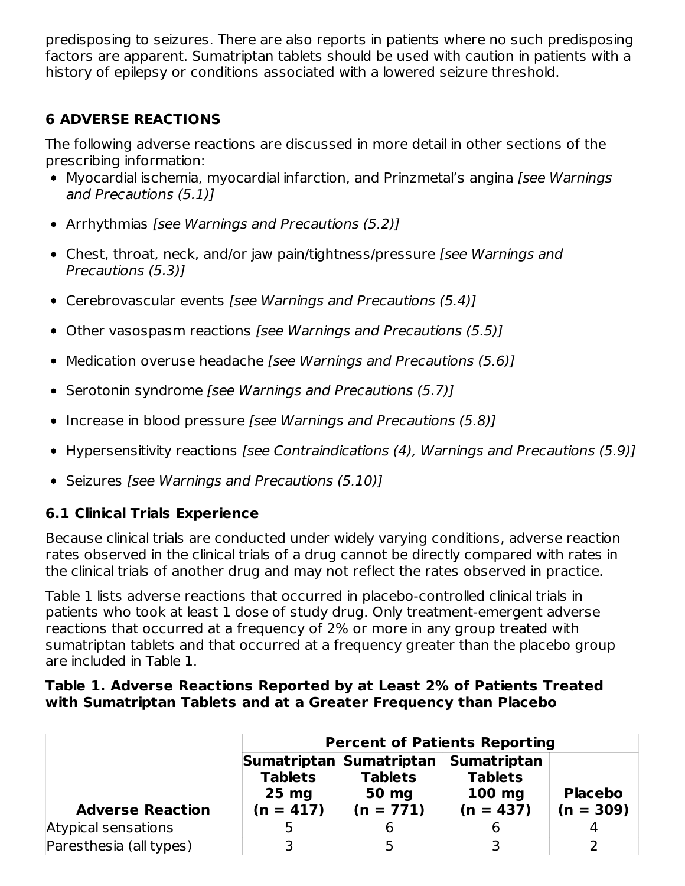predisposing to seizures. There are also reports in patients where no such predisposing factors are apparent. Sumatriptan tablets should be used with caution in patients with a history of epilepsy or conditions associated with a lowered seizure threshold.

# **6 ADVERSE REACTIONS**

The following adverse reactions are discussed in more detail in other sections of the prescribing information:

- Myocardial ischemia, myocardial infarction, and Prinzmetal's angina [see Warnings] and Precautions (5.1)]
- Arrhythmias [see Warnings and Precautions (5.2)]
- Chest, throat, neck, and/or jaw pain/tightness/pressure [see Warnings and Precautions (5.3)]
- Cerebrovascular events [see Warnings and Precautions (5.4)]
- Other vasospasm reactions [see Warnings and Precautions (5.5)]
- Medication overuse headache [see Warnings and Precautions (5.6)]
- Serotonin syndrome [see Warnings and Precautions (5.7)]
- Increase in blood pressure [see Warnings and Precautions (5.8)]
- Hypersensitivity reactions [see Contraindications (4), Warnings and Precautions (5.9)]
- Seizures [see Warnings and Precautions (5.10)]

# **6.1 Clinical Trials Experience**

Because clinical trials are conducted under widely varying conditions, adverse reaction rates observed in the clinical trials of a drug cannot be directly compared with rates in the clinical trials of another drug and may not reflect the rates observed in practice.

Table 1 lists adverse reactions that occurred in placebo-controlled clinical trials in patients who took at least 1 dose of study drug. Only treatment-emergent adverse reactions that occurred at a frequency of 2% or more in any group treated with sumatriptan tablets and that occurred at a frequency greater than the placebo group are included in Table 1.

#### **Table 1. Adverse Reactions Reported by at Least 2% of Patients Treated with Sumatriptan Tablets and at a Greater Frequency than Placebo**

|                         |                                          |                                                                   | <b>Percent of Patients Reporting</b>                            |                               |
|-------------------------|------------------------------------------|-------------------------------------------------------------------|-----------------------------------------------------------------|-------------------------------|
| <b>Adverse Reaction</b> | <b>Tablets</b><br>$25$ mg<br>$(n = 417)$ | Sumatriptan Sumatriptan<br><b>Tablets</b><br>50 mg<br>$(n = 771)$ | <b>Sumatriptan</b><br><b>Tablets</b><br>$100$ mg<br>$(n = 437)$ | <b>Placebo</b><br>$(n = 309)$ |
| Atypical sensations     | 5                                        |                                                                   | b                                                               |                               |
| Paresthesia (all types) |                                          |                                                                   |                                                                 |                               |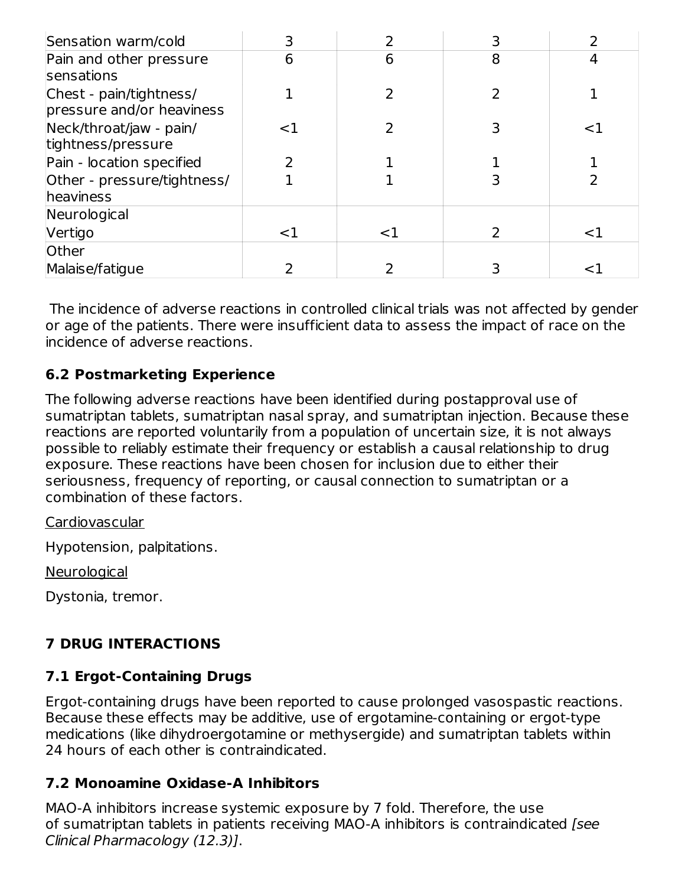| Sensation warm/cold                                  | 3     |    | 3 |    |
|------------------------------------------------------|-------|----|---|----|
| Pain and other pressure<br><b>sensations</b>         | 6     | 6  | 8 | 4  |
| Chest - pain/tightness/<br>pressure and/or heaviness |       |    |   |    |
| Neck/throat/jaw - pain/<br>tightness/pressure        | <1    |    |   | <1 |
| Pain - location specified                            |       |    |   |    |
| Other - pressure/tightness/<br>heaviness             |       |    |   |    |
| Neurological                                         |       |    |   |    |
| Vertigo                                              | $<$ 1 | <1 | 2 | <1 |
| Other                                                |       |    |   |    |
| Malaise/fatigue                                      |       |    |   |    |

The incidence of adverse reactions in controlled clinical trials was not affected by gender or age of the patients. There were insufficient data to assess the impact of race on the incidence of adverse reactions.

### **6.2 Postmarketing Experience**

The following adverse reactions have been identified during postapproval use of sumatriptan tablets, sumatriptan nasal spray, and sumatriptan injection. Because these reactions are reported voluntarily from a population of uncertain size, it is not always possible to reliably estimate their frequency or establish a causal relationship to drug exposure. These reactions have been chosen for inclusion due to either their seriousness, frequency of reporting, or causal connection to sumatriptan or a combination of these factors.

#### Cardiovascular

Hypotension, palpitations.

**Neurological** 

Dystonia, tremor.

# **7 DRUG INTERACTIONS**

### **7.1 Ergot-Containing Drugs**

Ergot-containing drugs have been reported to cause prolonged vasospastic reactions. Because these effects may be additive, use of ergotamine-containing or ergot-type medications (like dihydroergotamine or methysergide) and sumatriptan tablets within 24 hours of each other is contraindicated.

### **7.2 Monoamine Oxidase-A Inhibitors**

MAO-A inhibitors increase systemic exposure by 7 fold. Therefore, the use of sumatriptan tablets in patients receiving MAO‑A inhibitors is contraindicated [see Clinical Pharmacology (12.3)].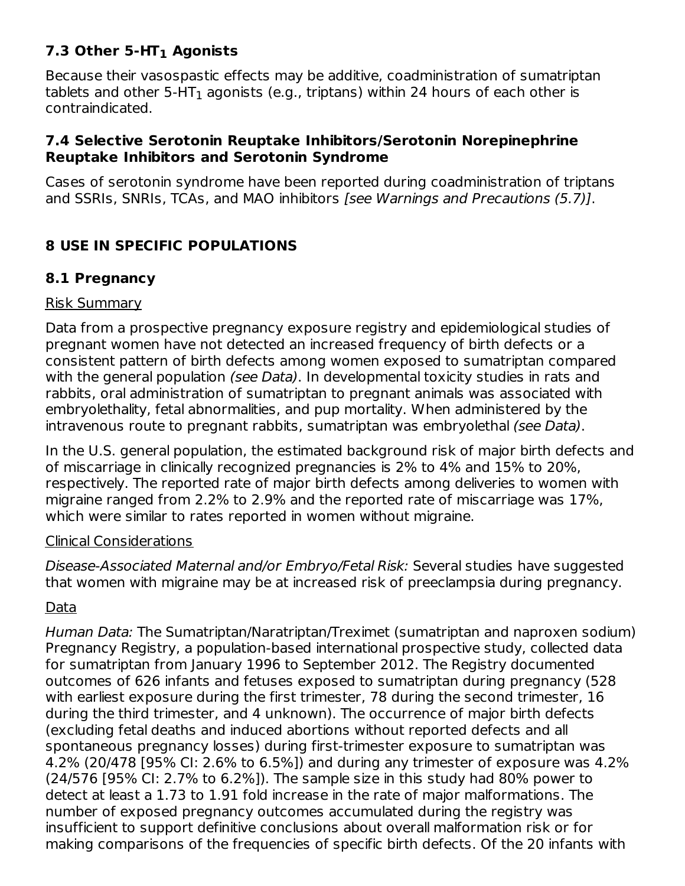# **7.3 Other 5-HT Agonists 1**

Because their vasospastic effects may be additive, coadministration of sumatriptan tablets and other 5-HT $_{\rm 1}$  agonists (e.g., triptans) within 24 hours of each other is contraindicated.

#### **7.4 Selective Serotonin Reuptake Inhibitors/Serotonin Norepinephrine Reuptake Inhibitors and Serotonin Syndrome**

Cases of serotonin syndrome have been reported during coadministration of triptans and SSRIs, SNRIs, TCAs, and MAO inhibitors [see Warnings and Precautions (5.7)].

### **8 USE IN SPECIFIC POPULATIONS**

#### **8.1 Pregnancy**

#### Risk Summary

Data from a prospective pregnancy exposure registry and epidemiological studies of pregnant women have not detected an increased frequency of birth defects or a consistent pattern of birth defects among women exposed to sumatriptan compared with the general population (see Data). In developmental toxicity studies in rats and rabbits, oral administration of sumatriptan to pregnant animals was associated with embryolethality, fetal abnormalities, and pup mortality. When administered by the intravenous route to pregnant rabbits, sumatriptan was embryolethal (see Data).

In the U.S. general population, the estimated background risk of major birth defects and of miscarriage in clinically recognized pregnancies is 2% to 4% and 15% to 20%, respectively. The reported rate of major birth defects among deliveries to women with migraine ranged from 2.2% to 2.9% and the reported rate of miscarriage was 17%, which were similar to rates reported in women without migraine.

#### Clinical Considerations

Disease-Associated Maternal and/or Embryo/Fetal Risk: Several studies have suggested that women with migraine may be at increased risk of preeclampsia during pregnancy.

#### Data

Human Data: The Sumatriptan/Naratriptan/Treximet (sumatriptan and naproxen sodium) Pregnancy Registry, a population-based international prospective study, collected data for sumatriptan from January 1996 to September 2012. The Registry documented outcomes of 626 infants and fetuses exposed to sumatriptan during pregnancy (528 with earliest exposure during the first trimester, 78 during the second trimester, 16 during the third trimester, and 4 unknown). The occurrence of major birth defects (excluding fetal deaths and induced abortions without reported defects and all spontaneous pregnancy losses) during first-trimester exposure to sumatriptan was 4.2% (20/478 [95% CI: 2.6% to 6.5%]) and during any trimester of exposure was 4.2% (24/576 [95% CI: 2.7% to 6.2%]). The sample size in this study had 80% power to detect at least a 1.73 to 1.91 fold increase in the rate of major malformations. The number of exposed pregnancy outcomes accumulated during the registry was insufficient to support definitive conclusions about overall malformation risk or for making comparisons of the frequencies of specific birth defects. Of the 20 infants with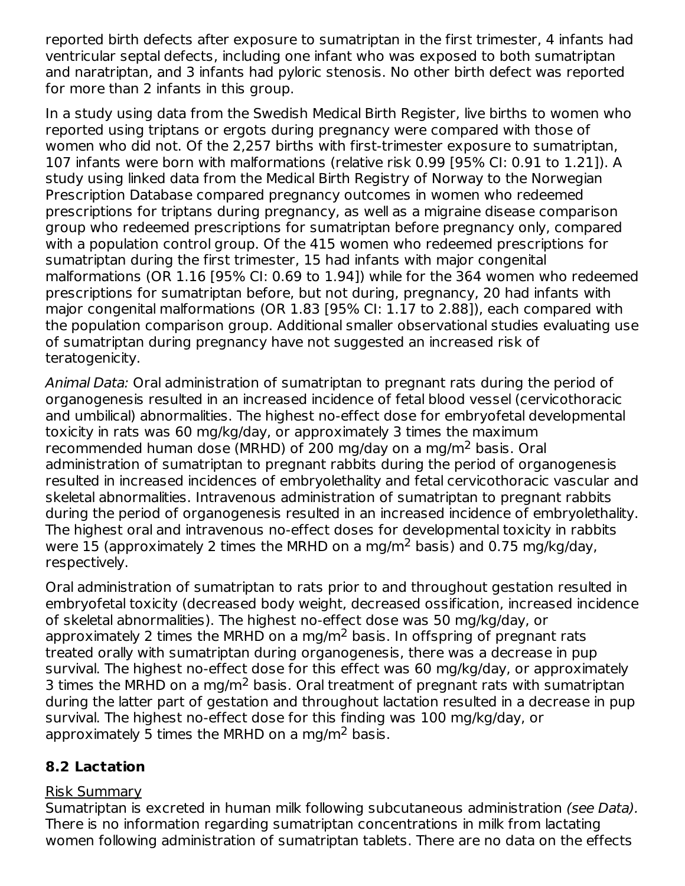reported birth defects after exposure to sumatriptan in the first trimester, 4 infants had ventricular septal defects, including one infant who was exposed to both sumatriptan and naratriptan, and 3 infants had pyloric stenosis. No other birth defect was reported for more than 2 infants in this group.

In a study using data from the Swedish Medical Birth Register, live births to women who reported using triptans or ergots during pregnancy were compared with those of women who did not. Of the 2,257 births with first-trimester exposure to sumatriptan, 107 infants were born with malformations (relative risk 0.99 [95% CI: 0.91 to 1.21]). A study using linked data from the Medical Birth Registry of Norway to the Norwegian Prescription Database compared pregnancy outcomes in women who redeemed prescriptions for triptans during pregnancy, as well as a migraine disease comparison group who redeemed prescriptions for sumatriptan before pregnancy only, compared with a population control group. Of the 415 women who redeemed prescriptions for sumatriptan during the first trimester, 15 had infants with major congenital malformations (OR 1.16 [95% CI: 0.69 to 1.94]) while for the 364 women who redeemed prescriptions for sumatriptan before, but not during, pregnancy, 20 had infants with major congenital malformations (OR 1.83 [95% CI: 1.17 to 2.88]), each compared with the population comparison group. Additional smaller observational studies evaluating use of sumatriptan during pregnancy have not suggested an increased risk of teratogenicity.

Animal Data: Oral administration of sumatriptan to pregnant rats during the period of organogenesis resulted in an increased incidence of fetal blood vessel (cervicothoracic and umbilical) abnormalities. The highest no-effect dose for embryofetal developmental toxicity in rats was 60 mg/kg/day, or approximately 3 times the maximum recommended human dose (MRHD) of 200 mg/day on a mg/m<sup>2</sup> basis. Oral administration of sumatriptan to pregnant rabbits during the period of organogenesis resulted in increased incidences of embryolethality and fetal cervicothoracic vascular and skeletal abnormalities. Intravenous administration of sumatriptan to pregnant rabbits during the period of organogenesis resulted in an increased incidence of embryolethality. The highest oral and intravenous no-effect doses for developmental toxicity in rabbits were 15 (approximately 2 times the MRHD on a mg/m<sup>2</sup> basis) and 0.75 mg/kg/day, respectively.

Oral administration of sumatriptan to rats prior to and throughout gestation resulted in embryofetal toxicity (decreased body weight, decreased ossification, increased incidence of skeletal abnormalities). The highest no-effect dose was 50 mg/kg/day, or approximately 2 times the MRHD on a mg/m<sup>2</sup> basis. In offspring of pregnant rats treated orally with sumatriptan during organogenesis, there was a decrease in pup survival. The highest no-effect dose for this effect was 60 mg/kg/day, or approximately 3 times the MRHD on a mg/m<sup>2</sup> basis. Oral treatment of pregnant rats with sumatriptan during the latter part of gestation and throughout lactation resulted in a decrease in pup survival. The highest no-effect dose for this finding was 100 mg/kg/day, or approximately 5 times the MRHD on a mg/m<sup>2</sup> basis.

### **8.2 Lactation**

#### Risk Summary

Sumatriptan is excreted in human milk following subcutaneous administration (see Data). There is no information regarding sumatriptan concentrations in milk from lactating women following administration of sumatriptan tablets. There are no data on the effects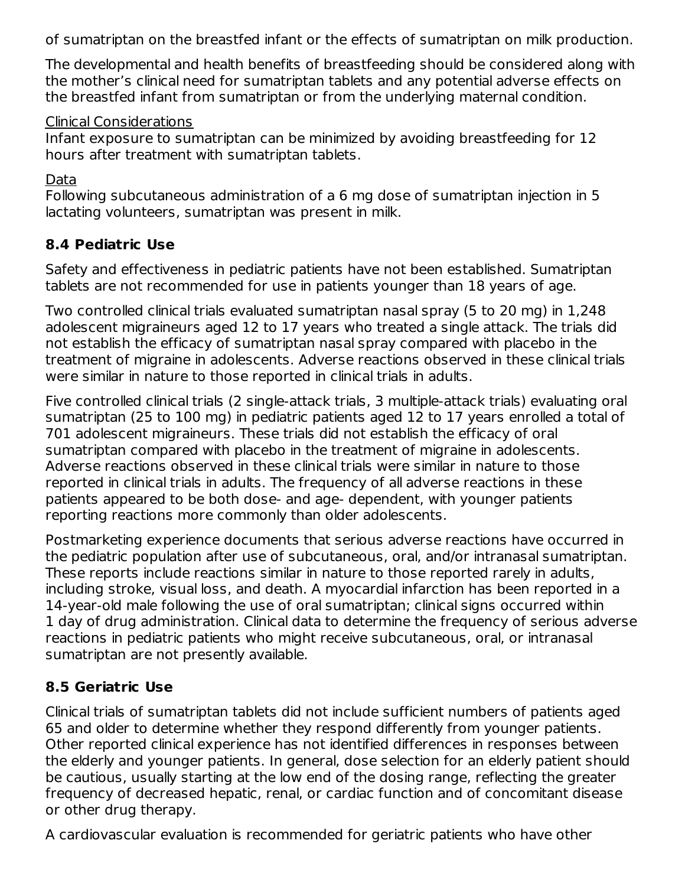of sumatriptan on the breastfed infant or the effects of sumatriptan on milk production.

The developmental and health benefits of breastfeeding should be considered along with the mother's clinical need for sumatriptan tablets and any potential adverse effects on the breastfed infant from sumatriptan or from the underlying maternal condition.

#### Clinical Considerations

Infant exposure to sumatriptan can be minimized by avoiding breastfeeding for 12 hours after treatment with sumatriptan tablets.

Data

Following subcutaneous administration of a 6 mg dose of sumatriptan injection in 5 lactating volunteers, sumatriptan was present in milk.

# **8.4 Pediatric Use**

Safety and effectiveness in pediatric patients have not been established. Sumatriptan tablets are not recommended for use in patients younger than 18 years of age.

Two controlled clinical trials evaluated sumatriptan nasal spray (5 to 20 mg) in 1,248 adolescent migraineurs aged 12 to 17 years who treated a single attack. The trials did not establish the efficacy of sumatriptan nasal spray compared with placebo in the treatment of migraine in adolescents. Adverse reactions observed in these clinical trials were similar in nature to those reported in clinical trials in adults.

Five controlled clinical trials (2 single-attack trials, 3 multiple-attack trials) evaluating oral sumatriptan (25 to 100 mg) in pediatric patients aged 12 to 17 years enrolled a total of 701 adolescent migraineurs. These trials did not establish the efficacy of oral sumatriptan compared with placebo in the treatment of migraine in adolescents. Adverse reactions observed in these clinical trials were similar in nature to those reported in clinical trials in adults. The frequency of all adverse reactions in these patients appeared to be both dose- and age‑ dependent, with younger patients reporting reactions more commonly than older adolescents.

Postmarketing experience documents that serious adverse reactions have occurred in the pediatric population after use of subcutaneous, oral, and/or intranasal sumatriptan. These reports include reactions similar in nature to those reported rarely in adults, including stroke, visual loss, and death. A myocardial infarction has been reported in a 14‑year‑old male following the use of oral sumatriptan; clinical signs occurred within 1 day of drug administration. Clinical data to determine the frequency of serious adverse reactions in pediatric patients who might receive subcutaneous, oral, or intranasal sumatriptan are not presently available.

# **8.5 Geriatric Use**

Clinical trials of sumatriptan tablets did not include sufficient numbers of patients aged 65 and older to determine whether they respond differently from younger patients. Other reported clinical experience has not identified differences in responses between the elderly and younger patients. In general, dose selection for an elderly patient should be cautious, usually starting at the low end of the dosing range, reflecting the greater frequency of decreased hepatic, renal, or cardiac function and of concomitant disease or other drug therapy.

A cardiovascular evaluation is recommended for geriatric patients who have other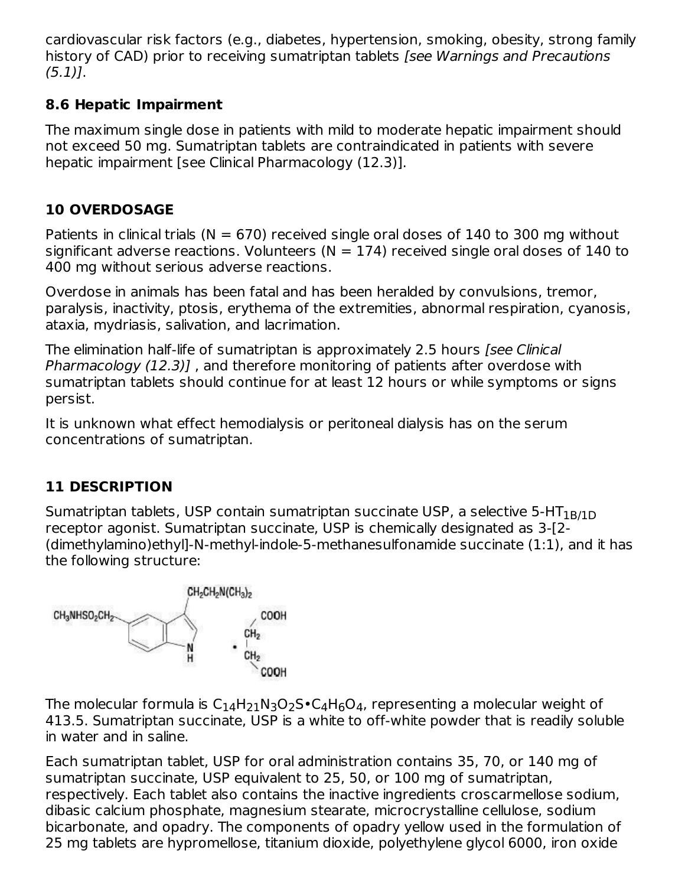cardiovascular risk factors (e.g., diabetes, hypertension, smoking, obesity, strong family history of CAD) prior to receiving sumatriptan tablets *[see Warnings and Precautions*  $(5.1)$ .

### **8.6 Hepatic Impairment**

The maximum single dose in patients with mild to moderate hepatic impairment should not exceed 50 mg. Sumatriptan tablets are contraindicated in patients with severe hepatic impairment [see Clinical Pharmacology (12.3)].

# **10 OVERDOSAGE**

Patients in clinical trials ( $N = 670$ ) received single oral doses of 140 to 300 mg without significant adverse reactions. Volunteers ( $N = 174$ ) received single oral doses of 140 to 400 mg without serious adverse reactions.

Overdose in animals has been fatal and has been heralded by convulsions, tremor, paralysis, inactivity, ptosis, erythema of the extremities, abnormal respiration, cyanosis, ataxia, mydriasis, salivation, and lacrimation.

The elimination half-life of sumatriptan is approximately 2.5 hours *[see Clinical* Pharmacology (12.3)], and therefore monitoring of patients after overdose with sumatriptan tablets should continue for at least 12 hours or while symptoms or signs persist.

It is unknown what effect hemodialysis or peritoneal dialysis has on the serum concentrations of sumatriptan.

# **11 DESCRIPTION**

Sumatriptan tablets, USP contain sumatriptan succinate USP, a selective 5-HT $_{\rm 1B/1D}$ receptor agonist. Sumatriptan succinate, USP is chemically designated as 3-[2- (dimethylamino)ethyl]-N-methyl-indole-5-methanesulfonamide succinate (1:1), and it has the following structure:



The molecular formula is  $\mathsf{C}_{14}\mathsf{H}_{21}\mathsf{N}_3\mathsf{O}_2\mathsf{S}\bullet \mathsf{C}_4\mathsf{H}_6\mathsf{O}_4$ , representing a molecular weight of 413.5. Sumatriptan succinate, USP is a white to off‑white powder that is readily soluble in water and in saline.

Each sumatriptan tablet, USP for oral administration contains 35, 70, or 140 mg of sumatriptan succinate, USP equivalent to 25, 50, or 100 mg of sumatriptan, respectively. Each tablet also contains the inactive ingredients croscarmellose sodium, dibasic calcium phosphate, magnesium stearate, microcrystalline cellulose, sodium bicarbonate, and opadry. The components of opadry yellow used in the formulation of 25 mg tablets are hypromellose, titanium dioxide, polyethylene glycol 6000, iron oxide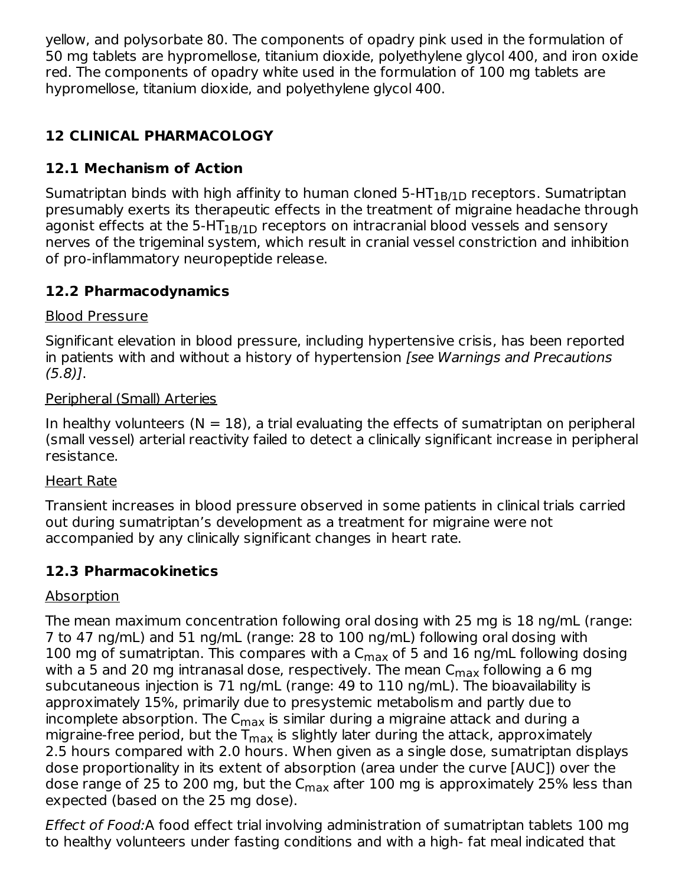yellow, and polysorbate 80. The components of opadry pink used in the formulation of 50 mg tablets are hypromellose, titanium dioxide, polyethylene glycol 400, and iron oxide red. The components of opadry white used in the formulation of 100 mg tablets are hypromellose, titanium dioxide, and polyethylene glycol 400.

# **12 CLINICAL PHARMACOLOGY**

# **12.1 Mechanism of Action**

Sumatriptan binds with high affinity to human cloned 5-HT $_{\rm 1B/1D}$  receptors. Sumatriptan presumably exerts its therapeutic effects in the treatment of migraine headache through agonist effects at the 5-HT $_{\rm 1B/1D}$  receptors on intracranial blood vessels and sensory nerves of the trigeminal system, which result in cranial vessel constriction and inhibition of pro‑inflammatory neuropeptide release.

### **12.2 Pharmacodynamics**

### Blood Pressure

Significant elevation in blood pressure, including hypertensive crisis, has been reported in patients with and without a history of hypertension [see Warnings and Precautions (5.8)].

#### Peripheral (Small) Arteries

In healthy volunteers  $(N = 18)$ , a trial evaluating the effects of sumatriptan on peripheral (small vessel) arterial reactivity failed to detect a clinically significant increase in peripheral resistance.

### Heart Rate

Transient increases in blood pressure observed in some patients in clinical trials carried out during sumatriptan's development as a treatment for migraine were not accompanied by any clinically significant changes in heart rate.

# **12.3 Pharmacokinetics**

### Absorption

The mean maximum concentration following oral dosing with 25 mg is 18 ng/mL (range: 7 to 47 ng/mL) and 51 ng/mL (range: 28 to 100 ng/mL) following oral dosing with 100 mg of sumatriptan. This compares with a  $C_{\sf max}$  of 5 and 16 ng/mL following dosing with a 5 and 20 mg intranasal dose, respectively. The mean  ${\sf C}_{\sf max}$  following a 6 mg subcutaneous injection is 71 ng/mL (range: 49 to 110 ng/mL). The bioavailability is approximately 15%, primarily due to presystemic metabolism and partly due to incomplete absorption. The C $_{\sf max}$  is similar during a migraine attack and during a migraine-free period, but the T<sub>max</sub> is slightly later during the attack, approximately 2.5 hours compared with 2.0 hours. When given as a single dose, sumatriptan displays dose proportionality in its extent of absorption (area under the curve [AUC]) over the dose range of 25 to 200 mg, but the C<sub>max</sub> after 100 mg is approximately 25% less than expected (based on the 25 mg dose).

Effect of Food:A food effect trial involving administration of sumatriptan tablets 100 mg to healthy volunteers under fasting conditions and with a high- fat meal indicated that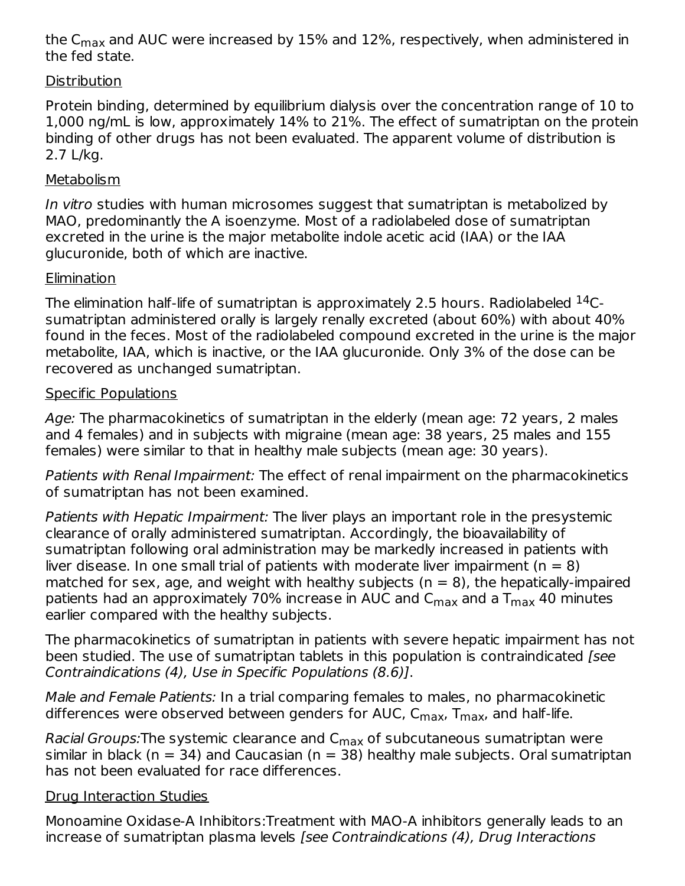the C $_{\sf max}$  and AUC were increased by 15% and 12%, respectively, when administered in the fed state.

#### **Distribution**

Protein binding, determined by equilibrium dialysis over the concentration range of 10 to 1,000 ng/mL is low, approximately 14% to 21%. The effect of sumatriptan on the protein binding of other drugs has not been evaluated. The apparent volume of distribution is 2.7 L/kg.

#### **Metabolism**

In vitro studies with human microsomes suggest that sumatriptan is metabolized by MAO, predominantly the A isoenzyme. Most of a radiolabeled dose of sumatriptan excreted in the urine is the major metabolite indole acetic acid (IAA) or the IAA glucuronide, both of which are inactive.

### **Elimination**

The elimination half-life of sumatriptan is approximately 2.5 hours. Radiolabeled  $^{14}\mathrm{C}\text{-}$ sumatriptan administered orally is largely renally excreted (about 60%) with about 40% found in the feces. Most of the radiolabeled compound excreted in the urine is the major metabolite, IAA, which is inactive, or the IAA glucuronide. Only 3% of the dose can be recovered as unchanged sumatriptan.

#### Specific Populations

Age: The pharmacokinetics of sumatriptan in the elderly (mean age: 72 years, 2 males and 4 females) and in subjects with migraine (mean age: 38 years, 25 males and 155 females) were similar to that in healthy male subjects (mean age: 30 years).

Patients with Renal Impairment: The effect of renal impairment on the pharmacokinetics of sumatriptan has not been examined.

Patients with Hepatic Impairment: The liver plays an important role in the presystemic clearance of orally administered sumatriptan. Accordingly, the bioavailability of sumatriptan following oral administration may be markedly increased in patients with liver disease. In one small trial of patients with moderate liver impairment ( $n = 8$ ) matched for sex, age, and weight with healthy subjects ( $n = 8$ ), the hepatically-impaired patients had an approximately 70% increase in AUC and C $_{\sf max}$  and a T $_{\sf max}$  40 minutes earlier compared with the healthy subjects.

The pharmacokinetics of sumatriptan in patients with severe hepatic impairment has not been studied. The use of sumatriptan tablets in this population is contraindicated [see Contraindications (4), Use in Specific Populations (8.6)].

Male and Female Patients: In a trial comparing females to males, no pharmacokinetic differences were observed between genders for AUC, C<sub>max</sub>, T<sub>max</sub>, and half-life.

R*acial Groups:*The systemic clearance and C<sub>max</sub> of subcutaneous sumatriptan were similar in black ( $n = 34$ ) and Caucasian ( $n = 38$ ) healthy male subjects. Oral sumatriptan has not been evaluated for race differences.

### Drug Interaction Studies

Monoamine Oxidase-A Inhibitors:Treatment with MAO-A inhibitors generally leads to an increase of sumatriptan plasma levels [see Contraindications (4), Drug Interactions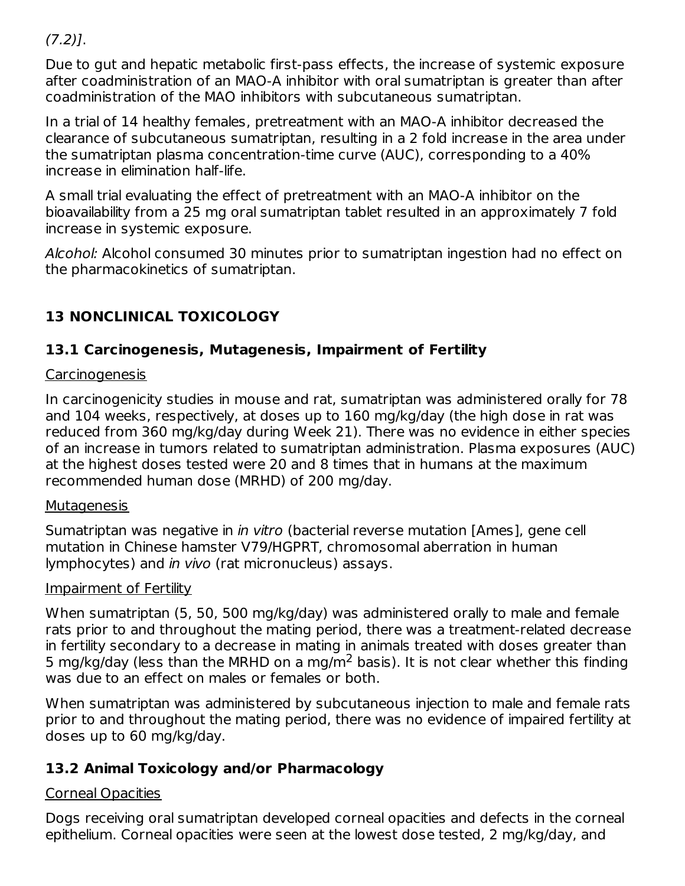$(7.2)$ ].

Due to gut and hepatic metabolic first-pass effects, the increase of systemic exposure after coadministration of an MAO-A inhibitor with oral sumatriptan is greater than after coadministration of the MAO inhibitors with subcutaneous sumatriptan.

In a trial of 14 healthy females, pretreatment with an MAO-A inhibitor decreased the clearance of subcutaneous sumatriptan, resulting in a 2 fold increase in the area under the sumatriptan plasma concentration-time curve (AUC), corresponding to a 40% increase in elimination half-life.

A small trial evaluating the effect of pretreatment with an MAO-A inhibitor on the bioavailability from a 25 mg oral sumatriptan tablet resulted in an approximately 7 fold increase in systemic exposure.

Alcohol: Alcohol consumed 30 minutes prior to sumatriptan ingestion had no effect on the pharmacokinetics of sumatriptan.

# **13 NONCLINICAL TOXICOLOGY**

# **13.1 Carcinogenesis, Mutagenesis, Impairment of Fertility**

### Carcinogenesis

In carcinogenicity studies in mouse and rat, sumatriptan was administered orally for 78 and 104 weeks, respectively, at doses up to 160 mg/kg/day (the high dose in rat was reduced from 360 mg/kg/day during Week 21). There was no evidence in either species of an increase in tumors related to sumatriptan administration. Plasma exposures (AUC) at the highest doses tested were 20 and 8 times that in humans at the maximum recommended human dose (MRHD) of 200 mg/day.

### **Mutagenesis**

Sumatriptan was negative in *in vitro* (bacterial reverse mutation [Ames], gene cell mutation in Chinese hamster V79/HGPRT, chromosomal aberration in human lymphocytes) and in vivo (rat micronucleus) assays.

### Impairment of Fertility

When sumatriptan (5, 50, 500 mg/kg/day) was administered orally to male and female rats prior to and throughout the mating period, there was a treatment-related decrease in fertility secondary to a decrease in mating in animals treated with doses greater than 5 mg/kg/day (less than the MRHD on a mg/m<sup>2</sup> basis). It is not clear whether this finding was due to an effect on males or females or both.

When sumatriptan was administered by subcutaneous injection to male and female rats prior to and throughout the mating period, there was no evidence of impaired fertility at doses up to 60 mg/kg/day.

# **13.2 Animal Toxicology and/or Pharmacology**

# Corneal Opacities

Dogs receiving oral sumatriptan developed corneal opacities and defects in the corneal epithelium. Corneal opacities were seen at the lowest dose tested, 2 mg/kg/day, and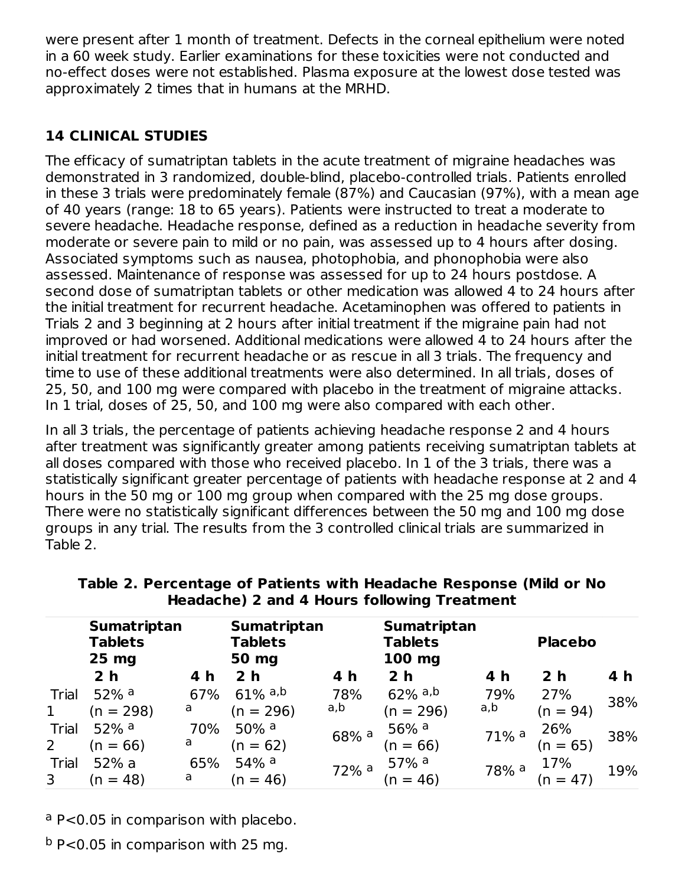were present after 1 month of treatment. Defects in the corneal epithelium were noted in a 60 week study. Earlier examinations for these toxicities were not conducted and no‑effect doses were not established. Plasma exposure at the lowest dose tested was approximately 2 times that in humans at the MRHD.

# **14 CLINICAL STUDIES**

The efficacy of sumatriptan tablets in the acute treatment of migraine headaches was demonstrated in 3 randomized, double-blind, placebo-controlled trials. Patients enrolled in these 3 trials were predominately female (87%) and Caucasian (97%), with a mean age of 40 years (range: 18 to 65 years). Patients were instructed to treat a moderate to severe headache. Headache response, defined as a reduction in headache severity from moderate or severe pain to mild or no pain, was assessed up to 4 hours after dosing. Associated symptoms such as nausea, photophobia, and phonophobia were also assessed. Maintenance of response was assessed for up to 24 hours postdose. A second dose of sumatriptan tablets or other medication was allowed 4 to 24 hours after the initial treatment for recurrent headache. Acetaminophen was offered to patients in Trials 2 and 3 beginning at 2 hours after initial treatment if the migraine pain had not improved or had worsened. Additional medications were allowed 4 to 24 hours after the initial treatment for recurrent headache or as rescue in all 3 trials. The frequency and time to use of these additional treatments were also determined. In all trials, doses of 25, 50, and 100 mg were compared with placebo in the treatment of migraine attacks. In 1 trial, doses of 25, 50, and 100 mg were also compared with each other.

In all 3 trials, the percentage of patients achieving headache response 2 and 4 hours after treatment was significantly greater among patients receiving sumatriptan tablets at all doses compared with those who received placebo. In 1 of the 3 trials, there was a statistically significant greater percentage of patients with headache response at 2 and 4 hours in the 50 mg or 100 mg group when compared with the 25 mg dose groups. There were no statistically significant differences between the 50 mg and 100 mg dose groups in any trial. The results from the 3 controlled clinical trials are summarized in Table 2.

|       | <b>Sumatriptan</b><br><b>Tablets</b><br>$25$ mg |     | <b>Sumatriptan</b><br><b>Tablets</b><br>50 mg |                    | <b>Sumatriptan</b><br><b>Tablets</b><br>$100$ mg |                     | <b>Placebo</b>     |     |
|-------|-------------------------------------------------|-----|-----------------------------------------------|--------------------|--------------------------------------------------|---------------------|--------------------|-----|
|       | 2 <sub>h</sub>                                  | 4 h | 2 <sub>h</sub>                                | 4 h                | 2 <sub>h</sub>                                   | 4 h                 | 2 <sub>h</sub>     | 4 h |
| Trial | $52\%$ <sup>a</sup>                             | 67% | $61\%$ a,b                                    | 78%                | $62\%$ a,b                                       | 79%                 | 27%                | 38% |
| 1     | $(n = 298)$                                     | a   | $(n = 296)$                                   | a,b                | $(n = 296)$                                      | a,b                 | $(n = 94)$         |     |
| Trial | 52% $a$                                         | 70% | 50% $a$                                       | 68% a              | 56% $a$                                          | $71\%$ <sup>a</sup> | $26\%$<br>(n = 65) | 38% |
| 2     | $(n = 66)$                                      | a   | $(n = 62)$                                    |                    | $(n = 66)$                                       |                     |                    |     |
| Trial | 52% a                                           | 65% | 54% $a$                                       | $72%$ <sup>a</sup> | $57\%$ <sup>a</sup>                              | 78% <sup>a</sup>    | 17%                | 19% |
| 3     | $(n = 48)$                                      | a   | $(n = 46)$                                    |                    | $(n = 46)$                                       |                     | $(n = 47)$         |     |

**Table 2. Percentage of Patients with Headache Response (Mild or No Headache) 2 and 4 Hours following Treatment**

<sup>a</sup> P<0.05 in comparison with placebo.

 $b$  P<0.05 in comparison with 25 mg.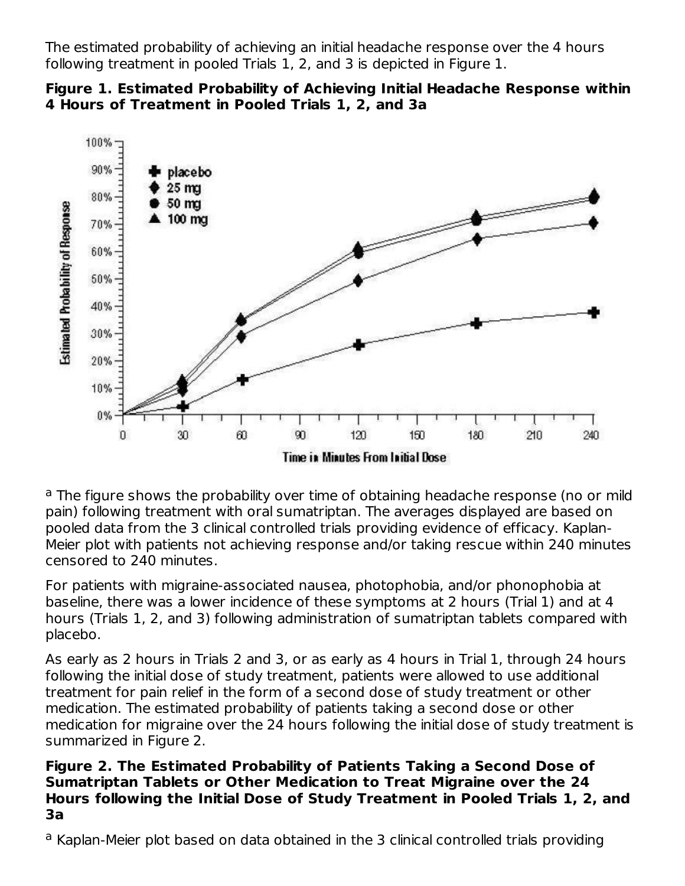The estimated probability of achieving an initial headache response over the 4 hours following treatment in pooled Trials 1, 2, and 3 is depicted in Figure 1.





<sup>a</sup> The figure shows the probability over time of obtaining headache response (no or mild pain) following treatment with oral sumatriptan. The averages displayed are based on pooled data from the 3 clinical controlled trials providing evidence of efficacy. Kaplan-Meier plot with patients not achieving response and/or taking rescue within 240 minutes censored to 240 minutes.

For patients with migraine-associated nausea, photophobia, and/or phonophobia at baseline, there was a lower incidence of these symptoms at 2 hours (Trial 1) and at 4 hours (Trials 1, 2, and 3) following administration of sumatriptan tablets compared with placebo.

As early as 2 hours in Trials 2 and 3, or as early as 4 hours in Trial 1, through 24 hours following the initial dose of study treatment, patients were allowed to use additional treatment for pain relief in the form of a second dose of study treatment or other medication. The estimated probability of patients taking a second dose or other medication for migraine over the 24 hours following the initial dose of study treatment is summarized in Figure 2.

#### **Figure 2. The Estimated Probability of Patients Taking a Second Dose of Sumatriptan Tablets or Other Medication to Treat Migraine over the 24 Hours following the Initial Dose of Study Treatment in Pooled Trials 1, 2, and 3a**

<sup>a</sup> Kaplan-Meier plot based on data obtained in the 3 clinical controlled trials providing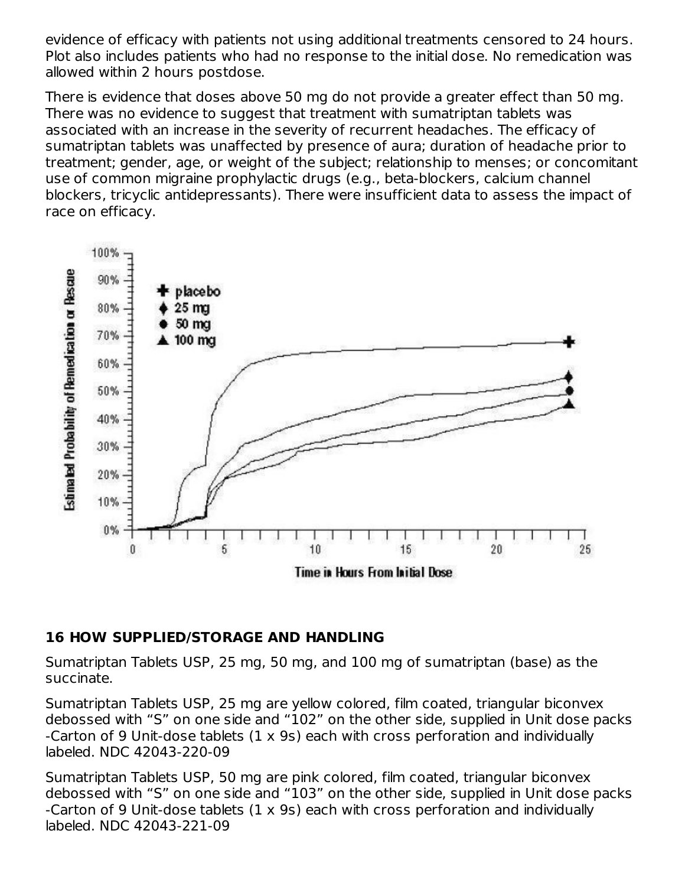evidence of efficacy with patients not using additional treatments censored to 24 hours. Plot also includes patients who had no response to the initial dose. No remedication was allowed within 2 hours postdose.

There is evidence that doses above 50 mg do not provide a greater effect than 50 mg. There was no evidence to suggest that treatment with sumatriptan tablets was associated with an increase in the severity of recurrent headaches. The efficacy of sumatriptan tablets was unaffected by presence of aura; duration of headache prior to treatment; gender, age, or weight of the subject; relationship to menses; or concomitant use of common migraine prophylactic drugs (e.g., beta-blockers, calcium channel blockers, tricyclic antidepressants). There were insufficient data to assess the impact of race on efficacy.



#### **16 HOW SUPPLIED/STORAGE AND HANDLING**

Sumatriptan Tablets USP, 25 mg, 50 mg, and 100 mg of sumatriptan (base) as the succinate.

Sumatriptan Tablets USP, 25 mg are yellow colored, film coated, triangular biconvex debossed with "S" on one side and "102" on the other side, supplied in Unit dose packs -Carton of 9 Unit-dose tablets (1 x 9s) each with cross perforation and individually labeled. NDC 42043-220-09

Sumatriptan Tablets USP, 50 mg are pink colored, film coated, triangular biconvex debossed with "S" on one side and "103" on the other side, supplied in Unit dose packs -Carton of 9 Unit-dose tablets (1 x 9s) each with cross perforation and individually labeled. NDC 42043-221-09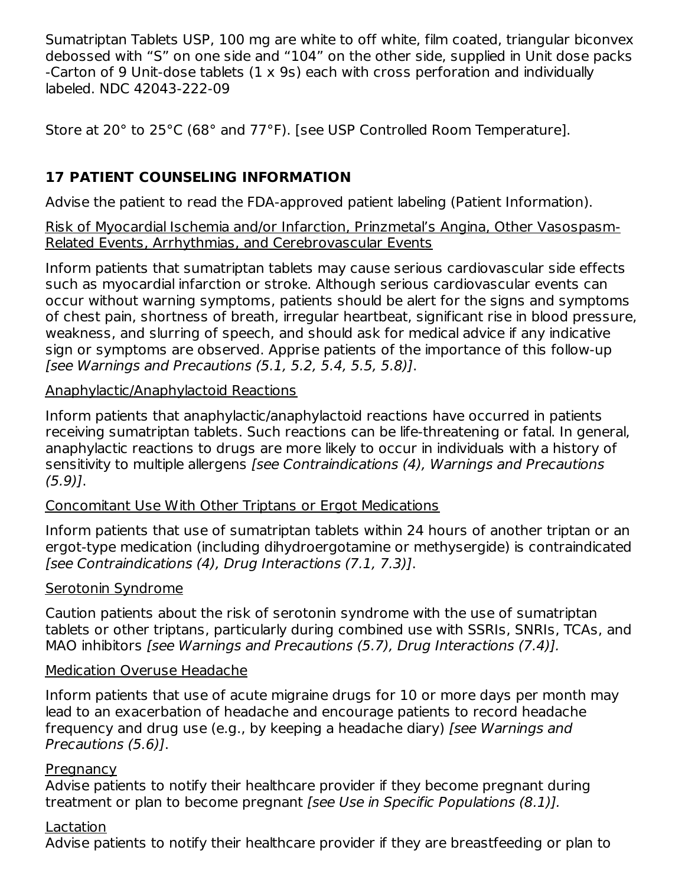Sumatriptan Tablets USP, 100 mg are white to off white, film coated, triangular biconvex debossed with "S" on one side and "104" on the other side, supplied in Unit dose packs -Carton of 9 Unit-dose tablets (1 x 9s) each with cross perforation and individually labeled. NDC 42043-222-09

Store at 20° to 25°C (68° and 77°F). [see USP Controlled Room Temperature].

# **17 PATIENT COUNSELING INFORMATION**

Advise the patient to read the FDA-approved patient labeling (Patient Information).

Risk of Myocardial Ischemia and/or Infarction, Prinzmetal's Angina, Other Vasospasm-Related Events, Arrhythmias, and Cerebrovascular Events

Inform patients that sumatriptan tablets may cause serious cardiovascular side effects such as myocardial infarction or stroke. Although serious cardiovascular events can occur without warning symptoms, patients should be alert for the signs and symptoms of chest pain, shortness of breath, irregular heartbeat, significant rise in blood pressure, weakness, and slurring of speech, and should ask for medical advice if any indicative sign or symptoms are observed. Apprise patients of the importance of this follow-up [see Warnings and Precautions (5.1, 5.2, 5.4, 5.5, 5.8)].

### Anaphylactic/Anaphylactoid Reactions

Inform patients that anaphylactic/anaphylactoid reactions have occurred in patients receiving sumatriptan tablets. Such reactions can be life-threatening or fatal. In general, anaphylactic reactions to drugs are more likely to occur in individuals with a history of sensitivity to multiple allergens [see Contraindications (4), Warnings and Precautions  $(5.9)$ ].

### Concomitant Use With Other Triptans or Ergot Medications

Inform patients that use of sumatriptan tablets within 24 hours of another triptan or an ergot-type medication (including dihydroergotamine or methysergide) is contraindicated [see Contraindications (4), Drug Interactions (7.1, 7.3)].

### Serotonin Syndrome

Caution patients about the risk of serotonin syndrome with the use of sumatriptan tablets or other triptans, particularly during combined use with SSRIs, SNRIs, TCAs, and MAO inhibitors [see Warnings and Precautions (5.7), Drug Interactions (7.4)].

### Medication Overuse Headache

Inform patients that use of acute migraine drugs for 10 or more days per month may lead to an exacerbation of headache and encourage patients to record headache frequency and drug use (e.g., by keeping a headache diary) [see Warnings and Precautions (5.6)].

### Pregnancy

Advise patients to notify their healthcare provider if they become pregnant during treatment or plan to become pregnant [see Use in Specific Populations (8.1)].

# Lactation

Advise patients to notify their healthcare provider if they are breastfeeding or plan to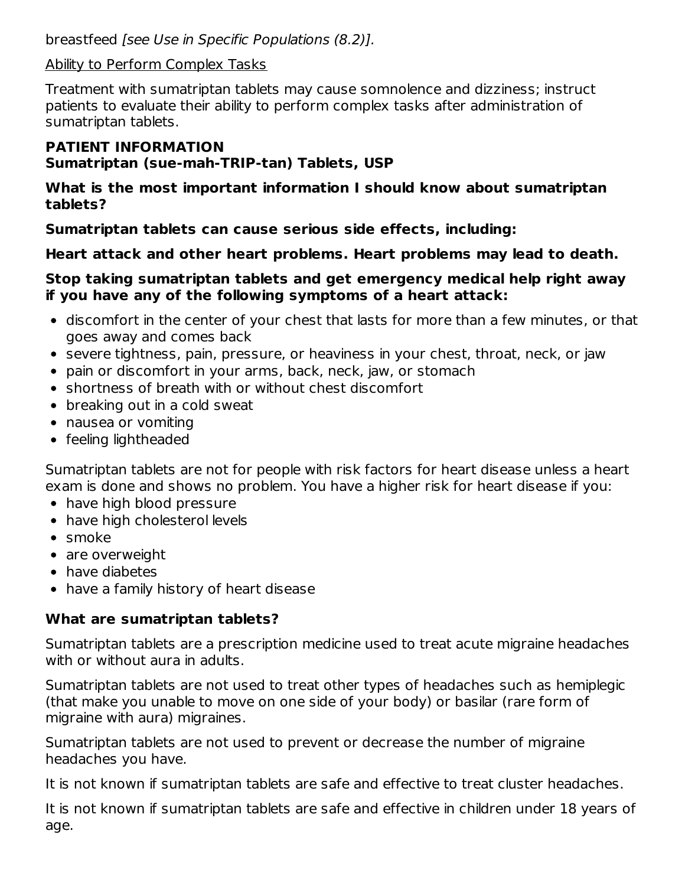breastfeed [see Use in Specific Populations (8.2)].

#### Ability to Perform Complex Tasks

Treatment with sumatriptan tablets may cause somnolence and dizziness; instruct patients to evaluate their ability to perform complex tasks after administration of sumatriptan tablets.

#### **PATIENT INFORMATION Sumatriptan (sue-mah-TRIP-tan) Tablets, USP**

**What is the most important information I should know about sumatriptan tablets?**

**Sumatriptan tablets can cause serious side effects, including:**

### **Heart attack and other heart problems. Heart problems may lead to death.**

#### **Stop taking sumatriptan tablets and get emergency medical help right away if you have any of the following symptoms of a heart attack:**

- discomfort in the center of your chest that lasts for more than a few minutes, or that goes away and comes back
- severe tightness, pain, pressure, or heaviness in your chest, throat, neck, or jaw
- pain or discomfort in your arms, back, neck, jaw, or stomach
- shortness of breath with or without chest discomfort
- breaking out in a cold sweat
- nausea or vomiting
- feeling lightheaded

Sumatriptan tablets are not for people with risk factors for heart disease unless a heart exam is done and shows no problem. You have a higher risk for heart disease if you:

- have high blood pressure
- have high cholesterol levels
- smoke
- are overweight
- have diabetes
- have a family history of heart disease

### **What are sumatriptan tablets?**

Sumatriptan tablets are a prescription medicine used to treat acute migraine headaches with or without aura in adults.

Sumatriptan tablets are not used to treat other types of headaches such as hemiplegic (that make you unable to move on one side of your body) or basilar (rare form of migraine with aura) migraines.

Sumatriptan tablets are not used to prevent or decrease the number of migraine headaches you have.

It is not known if sumatriptan tablets are safe and effective to treat cluster headaches.

It is not known if sumatriptan tablets are safe and effective in children under 18 years of age.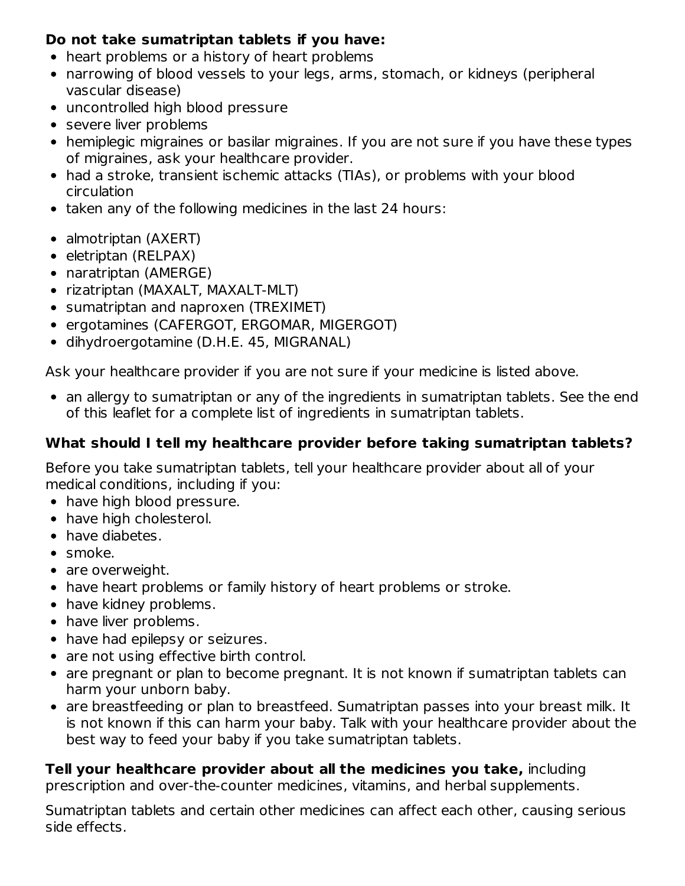### **Do not take sumatriptan tablets if you have:**

- heart problems or a history of heart problems
- narrowing of blood vessels to your legs, arms, stomach, or kidneys (peripheral vascular disease)
- uncontrolled high blood pressure
- severe liver problems
- hemiplegic migraines or basilar migraines. If you are not sure if you have these types of migraines, ask your healthcare provider.
- had a stroke, transient ischemic attacks (TIAs), or problems with your blood circulation
- taken any of the following medicines in the last 24 hours:
- almotriptan (AXERT)
- eletriptan (RELPAX)
- naratriptan (AMERGE)
- rizatriptan (MAXALT, MAXALT-MLT)
- sumatriptan and naproxen (TREXIMET)
- ergotamines (CAFERGOT, ERGOMAR, MIGERGOT)
- dihydroergotamine (D.H.E. 45, MIGRANAL)

Ask your healthcare provider if you are not sure if your medicine is listed above.

• an allergy to sumatriptan or any of the ingredients in sumatriptan tablets. See the end of this leaflet for a complete list of ingredients in sumatriptan tablets.

# **What should I tell my healthcare provider before taking sumatriptan tablets?**

Before you take sumatriptan tablets, tell your healthcare provider about all of your medical conditions, including if you:

- have high blood pressure.
- have high cholesterol.
- have diabetes.
- smoke.
- are overweight.
- have heart problems or family history of heart problems or stroke.
- have kidney problems.
- have liver problems.
- have had epilepsy or seizures.
- are not using effective birth control.
- are pregnant or plan to become pregnant. It is not known if sumatriptan tablets can harm your unborn baby.
- are breastfeeding or plan to breastfeed. Sumatriptan passes into your breast milk. It is not known if this can harm your baby. Talk with your healthcare provider about the best way to feed your baby if you take sumatriptan tablets.

# **Tell your healthcare provider about all the medicines you take,** including

prescription and over-the-counter medicines, vitamins, and herbal supplements.

Sumatriptan tablets and certain other medicines can affect each other, causing serious side effects.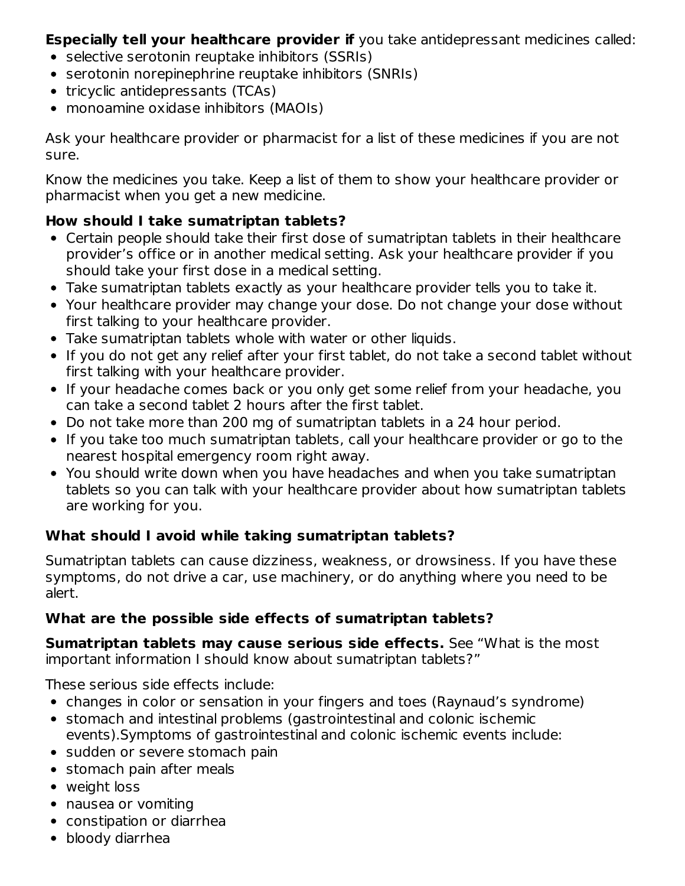**Especially tell your healthcare provider if** you take antidepressant medicines called:

- selective serotonin reuptake inhibitors (SSRIs)
- serotonin norepinephrine reuptake inhibitors (SNRIs)
- tricyclic antidepressants (TCAs)
- monoamine oxidase inhibitors (MAOIs)

Ask your healthcare provider or pharmacist for a list of these medicines if you are not sure.

Know the medicines you take. Keep a list of them to show your healthcare provider or pharmacist when you get a new medicine.

### **How should I take sumatriptan tablets?**

- Certain people should take their first dose of sumatriptan tablets in their healthcare provider's office or in another medical setting. Ask your healthcare provider if you should take your first dose in a medical setting.
- Take sumatriptan tablets exactly as your healthcare provider tells you to take it.
- Your healthcare provider may change your dose. Do not change your dose without first talking to your healthcare provider.
- Take sumatriptan tablets whole with water or other liquids.
- If you do not get any relief after your first tablet, do not take a second tablet without first talking with your healthcare provider.
- If your headache comes back or you only get some relief from your headache, you can take a second tablet 2 hours after the first tablet.
- Do not take more than 200 mg of sumatriptan tablets in a 24 hour period.
- If you take too much sumatriptan tablets, call your healthcare provider or go to the nearest hospital emergency room right away.
- You should write down when you have headaches and when you take sumatriptan tablets so you can talk with your healthcare provider about how sumatriptan tablets are working for you.

### **What should I avoid while taking sumatriptan tablets?**

Sumatriptan tablets can cause dizziness, weakness, or drowsiness. If you have these symptoms, do not drive a car, use machinery, or do anything where you need to be alert.

### **What are the possible side effects of sumatriptan tablets?**

**Sumatriptan tablets may cause serious side effects.** See "What is the most important information I should know about sumatriptan tablets?"

These serious side effects include:

- changes in color or sensation in your fingers and toes (Raynaud's syndrome)
- stomach and intestinal problems (gastrointestinal and colonic ischemic events).Symptoms of gastrointestinal and colonic ischemic events include:
- sudden or severe stomach pain
- stomach pain after meals
- weight loss
- nausea or vomiting
- constipation or diarrhea
- bloody diarrhea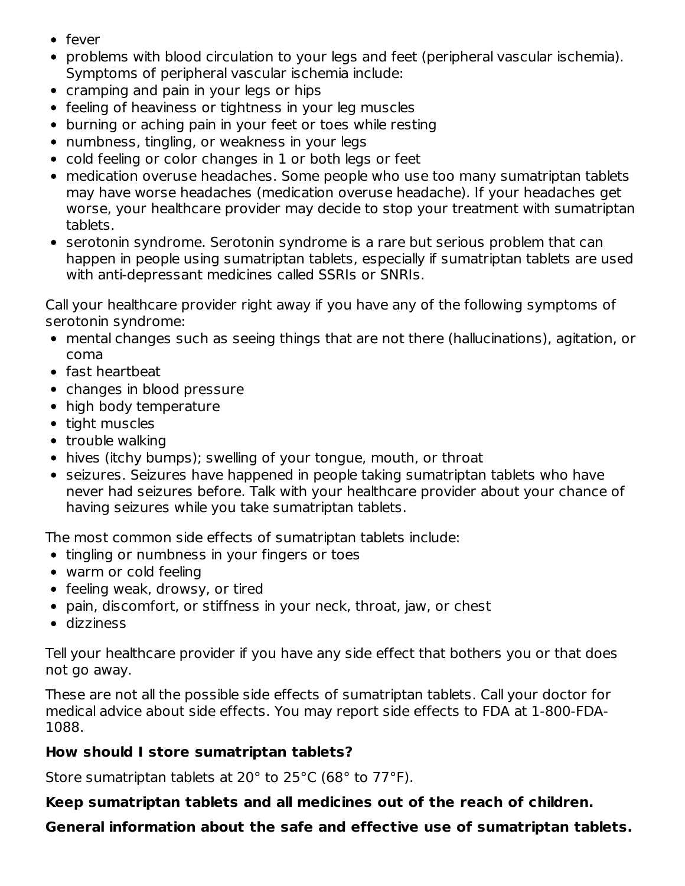- fever
- problems with blood circulation to your legs and feet (peripheral vascular ischemia). Symptoms of peripheral vascular ischemia include:
- cramping and pain in your legs or hips
- feeling of heaviness or tightness in your leg muscles
- burning or aching pain in your feet or toes while resting
- numbness, tingling, or weakness in your legs
- cold feeling or color changes in 1 or both legs or feet
- medication overuse headaches. Some people who use too many sumatriptan tablets may have worse headaches (medication overuse headache). If your headaches get worse, your healthcare provider may decide to stop your treatment with sumatriptan tablets.
- serotonin syndrome. Serotonin syndrome is a rare but serious problem that can happen in people using sumatriptan tablets, especially if sumatriptan tablets are used with anti-depressant medicines called SSRIs or SNRIs.

Call your healthcare provider right away if you have any of the following symptoms of serotonin syndrome:

- mental changes such as seeing things that are not there (hallucinations), agitation, or coma
- fast heartbeat
- changes in blood pressure
- high body temperature
- tight muscles
- trouble walking
- hives (itchy bumps); swelling of your tongue, mouth, or throat
- seizures. Seizures have happened in people taking sumatriptan tablets who have never had seizures before. Talk with your healthcare provider about your chance of having seizures while you take sumatriptan tablets.

The most common side effects of sumatriptan tablets include:

- tingling or numbness in your fingers or toes
- warm or cold feeling
- feeling weak, drowsy, or tired
- pain, discomfort, or stiffness in your neck, throat, jaw, or chest
- dizziness

Tell your healthcare provider if you have any side effect that bothers you or that does not go away.

These are not all the possible side effects of sumatriptan tablets. Call your doctor for medical advice about side effects. You may report side effects to FDA at 1-800-FDA-1088.

### **How should I store sumatriptan tablets?**

Store sumatriptan tablets at 20° to 25°C (68° to 77°F).

**Keep sumatriptan tablets and all medicines out of the reach of children.**

### **General information about the safe and effective use of sumatriptan tablets.**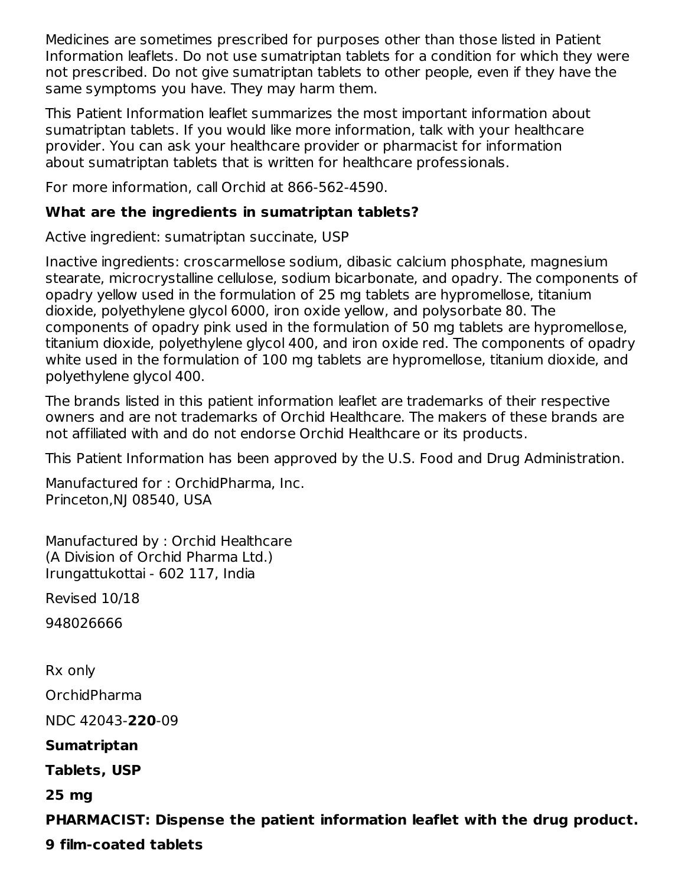Medicines are sometimes prescribed for purposes other than those listed in Patient Information leaflets. Do not use sumatriptan tablets for a condition for which they were not prescribed. Do not give sumatriptan tablets to other people, even if they have the same symptoms you have. They may harm them.

This Patient Information leaflet summarizes the most important information about sumatriptan tablets. If you would like more information, talk with your healthcare provider. You can ask your healthcare provider or pharmacist for information about sumatriptan tablets that is written for healthcare professionals.

For more information, call Orchid at 866-562-4590.

# **What are the ingredients in sumatriptan tablets?**

Active ingredient: sumatriptan succinate, USP

Inactive ingredients: croscarmellose sodium, dibasic calcium phosphate, magnesium stearate, microcrystalline cellulose, sodium bicarbonate, and opadry. The components of opadry yellow used in the formulation of 25 mg tablets are hypromellose, titanium dioxide, polyethylene glycol 6000, iron oxide yellow, and polysorbate 80. The components of opadry pink used in the formulation of 50 mg tablets are hypromellose, titanium dioxide, polyethylene glycol 400, and iron oxide red. The components of opadry white used in the formulation of 100 mg tablets are hypromellose, titanium dioxide, and polyethylene glycol 400.

The brands listed in this patient information leaflet are trademarks of their respective owners and are not trademarks of Orchid Healthcare. The makers of these brands are not affiliated with and do not endorse Orchid Healthcare or its products.

This Patient Information has been approved by the U.S. Food and Drug Administration.

Manufactured for : OrchidPharma, Inc. Princeton,NJ 08540, USA

Manufactured by : Orchid Healthcare (A Division of Orchid Pharma Ltd.) Irungattukottai - 602 117, India

Revised 10/18

948026666

Rx only

OrchidPharma

NDC 42043-**220**-09

**Sumatriptan**

**Tablets, USP**

**25 mg**

**PHARMACIST: Dispense the patient information leaflet with the drug product.**

**9 film-coated tablets**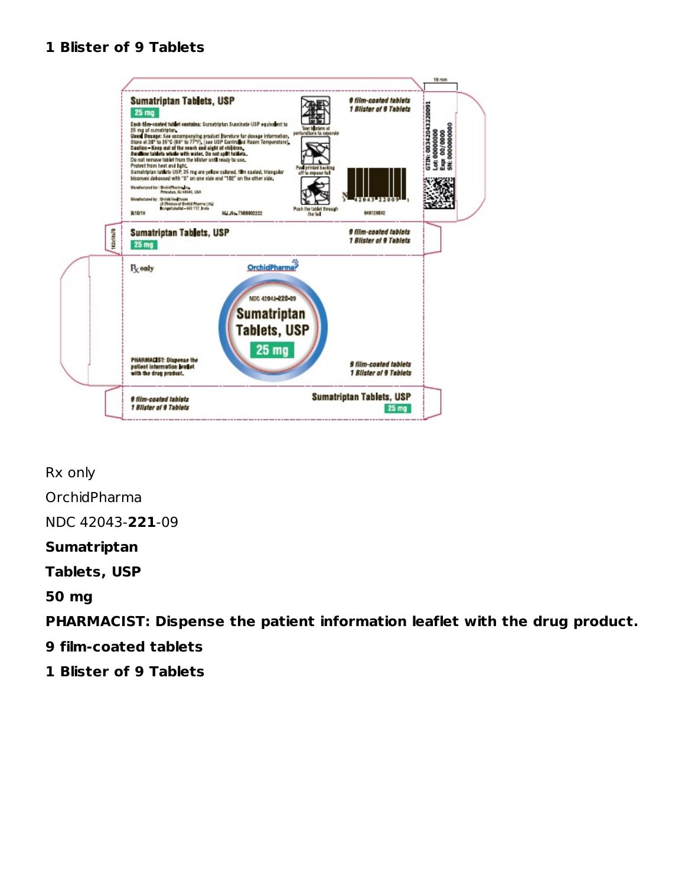#### **1 Blister of 9 Tablets**



Rx only OrchidPharma NDC 42043-**221**-09 **Sumatriptan Tablets, USP**

#### **50 mg**

**PHARMACIST: Dispense the patient information leaflet with the drug product.**

**9 film-coated tablets**

**1 Blister of 9 Tablets**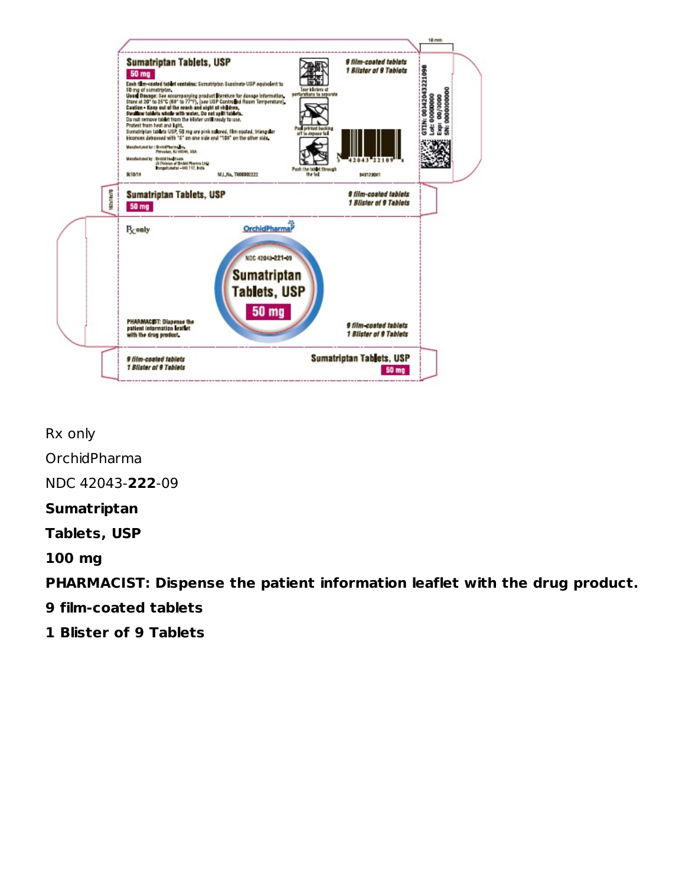

Rx only

OrchidPharma

NDC 42043-**222**-09

### **Sumatriptan**

**Tablets, USP**

**100 mg**

**PHARMACIST: Dispense the patient information leaflet with the drug product.**

- **9 film-coated tablets**
- **1 Blister of 9 Tablets**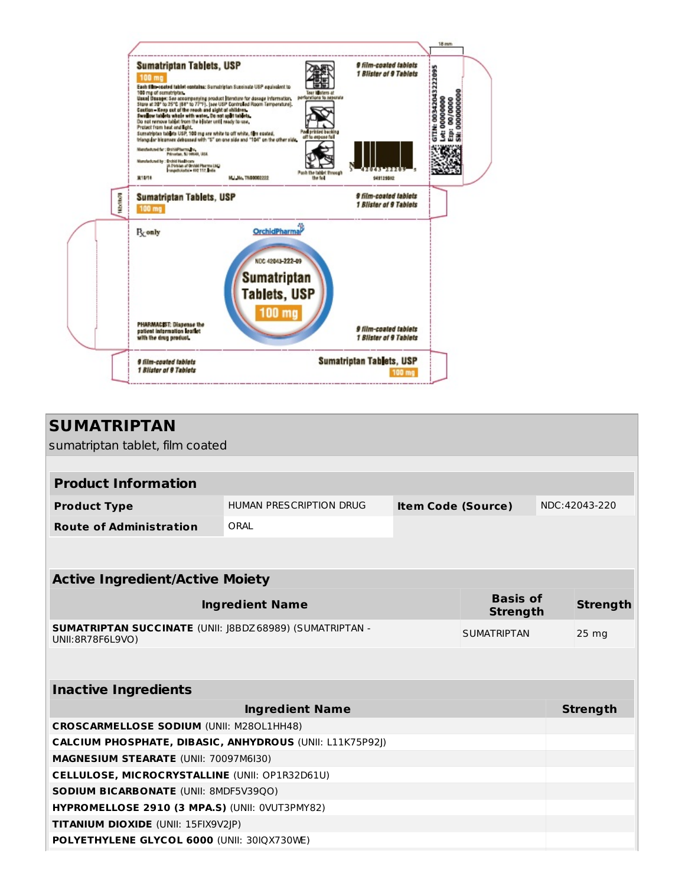

| <b>SUMATRIPTAN</b><br>sumatriptan tablet, film coated                        |                         |                           |                                    |  |                  |
|------------------------------------------------------------------------------|-------------------------|---------------------------|------------------------------------|--|------------------|
|                                                                              |                         |                           |                                    |  |                  |
| <b>Product Information</b>                                                   |                         |                           |                                    |  |                  |
| <b>Product Type</b>                                                          | HUMAN PRESCRIPTION DRUG | <b>Item Code (Source)</b> |                                    |  | NDC:42043-220    |
| <b>Route of Administration</b>                                               | ORAI                    |                           |                                    |  |                  |
|                                                                              |                         |                           |                                    |  |                  |
|                                                                              |                         |                           |                                    |  |                  |
| <b>Active Ingredient/Active Moiety</b>                                       |                         |                           |                                    |  |                  |
|                                                                              | <b>Ingredient Name</b>  |                           | <b>Basis of</b><br><b>Strength</b> |  | <b>Strength</b>  |
| SUMATRIPTAN SUCCINATE (UNII: J8BDZ 68989) (SUMATRIPTAN -<br>UNII:8R78F6L9VO) |                         |                           | <b>SUMATRIPTAN</b>                 |  | 25 <sub>mg</sub> |
|                                                                              |                         |                           |                                    |  |                  |
| <b>Inactive Ingredients</b>                                                  |                         |                           |                                    |  |                  |
|                                                                              | <b>Ingredient Name</b>  |                           |                                    |  | <b>Strength</b>  |
| <b>CROSCARMELLOSE SODIUM (UNII: M280L1HH48)</b>                              |                         |                           |                                    |  |                  |
| <b>CALCIUM PHOSPHATE, DIBASIC, ANHYDROUS (UNII: L11K75P92))</b>              |                         |                           |                                    |  |                  |
| MAGNESIUM STEARATE (UNII: 70097M6I30)                                        |                         |                           |                                    |  |                  |
| <b>CELLULOSE, MICROCRYSTALLINE (UNII: OP1R32D61U)</b>                        |                         |                           |                                    |  |                  |
| <b>SODIUM BICARBONATE (UNII: 8MDF5V39QO)</b>                                 |                         |                           |                                    |  |                  |
| HYPROMELLOSE 2910 (3 MPA.S) (UNII: 0VUT3PMY82)                               |                         |                           |                                    |  |                  |
| TITANIUM DIOXIDE (UNII: 15FIX9V2JP)                                          |                         |                           |                                    |  |                  |
| POLYETHYLENE GLYCOL 6000 (UNII: 30IQX730WE)                                  |                         |                           |                                    |  |                  |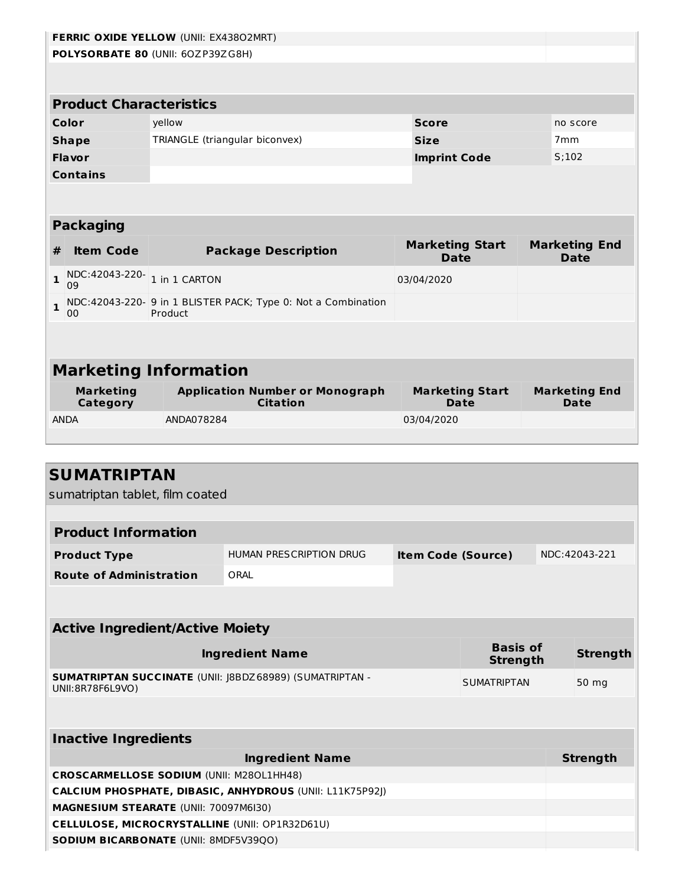|   | FERRIC OXIDE YELLOW (UNII: EX43802MRT)<br>POLYSORBATE 80 (UNII: 60ZP39ZG8H) |            |                                                                |                                       |                    |                              |                                     |  |
|---|-----------------------------------------------------------------------------|------------|----------------------------------------------------------------|---------------------------------------|--------------------|------------------------------|-------------------------------------|--|
|   |                                                                             |            |                                                                |                                       |                    |                              |                                     |  |
|   |                                                                             |            |                                                                |                                       |                    |                              |                                     |  |
|   | <b>Product Characteristics</b>                                              |            |                                                                |                                       |                    |                              |                                     |  |
|   | Color                                                                       | yellow     |                                                                | <b>Score</b>                          |                    |                              | no score                            |  |
|   | <b>Shape</b>                                                                |            | TRIANGLE (triangular biconvex)                                 | <b>Size</b>                           |                    | 7 <sub>mm</sub>              |                                     |  |
|   | <b>Flavor</b>                                                               |            |                                                                | <b>Imprint Code</b>                   |                    | S;102                        |                                     |  |
|   | <b>Contains</b>                                                             |            |                                                                |                                       |                    |                              |                                     |  |
|   |                                                                             |            |                                                                |                                       |                    |                              |                                     |  |
|   |                                                                             |            |                                                                |                                       |                    |                              |                                     |  |
|   | <b>Packaging</b>                                                            |            |                                                                |                                       |                    |                              |                                     |  |
| # | <b>Item Code</b>                                                            |            | <b>Package Description</b>                                     | <b>Marketing Start</b><br><b>Date</b> |                    |                              | <b>Marketing End</b><br><b>Date</b> |  |
| 1 | NDC:42043-220-1 in 1 CARTON<br>09                                           |            |                                                                | 03/04/2020                            |                    |                              |                                     |  |
| 1 |                                                                             |            | NDC: 42043-220- 9 in 1 BLISTER PACK; Type 0: Not a Combination |                                       |                    |                              |                                     |  |
|   | 00                                                                          | Product    |                                                                |                                       |                    |                              |                                     |  |
|   |                                                                             |            |                                                                |                                       |                    |                              |                                     |  |
|   |                                                                             |            |                                                                |                                       |                    |                              |                                     |  |
|   | <b>Marketing Information</b>                                                |            |                                                                |                                       |                    |                              |                                     |  |
|   | <b>Marketing</b><br><b>Category</b>                                         |            | <b>Application Number or Monograph</b><br><b>Citation</b>      | <b>Marketing Start</b><br><b>Date</b> |                    | <b>Marketing End</b><br>Date |                                     |  |
|   | <b>ANDA</b>                                                                 | ANDA078284 |                                                                | 03/04/2020                            |                    |                              |                                     |  |
|   |                                                                             |            |                                                                |                                       |                    |                              |                                     |  |
|   |                                                                             |            |                                                                |                                       |                    |                              |                                     |  |
|   | <b>SUMATRIPTAN</b>                                                          |            |                                                                |                                       |                    |                              |                                     |  |
|   | sumatriptan tablet, film coated                                             |            |                                                                |                                       |                    |                              |                                     |  |
|   |                                                                             |            |                                                                |                                       |                    |                              |                                     |  |
|   | <b>Product Information</b>                                                  |            |                                                                |                                       |                    |                              |                                     |  |
|   | <b>Product Type</b>                                                         |            | HUMAN PRESCRIPTION DRUG                                        | <b>Item Code (Source)</b>             |                    |                              | NDC:42043-221                       |  |
|   | <b>Route of Administration</b>                                              |            | ORAL                                                           |                                       |                    |                              |                                     |  |
|   |                                                                             |            |                                                                |                                       |                    |                              |                                     |  |
|   |                                                                             |            |                                                                |                                       |                    |                              |                                     |  |
|   | <b>Active Ingredient/Active Moiety</b>                                      |            |                                                                |                                       |                    |                              |                                     |  |
|   |                                                                             |            | <b>Ingredient Name</b>                                         |                                       | <b>Basis of</b>    |                              | <b>Strength</b>                     |  |
|   |                                                                             |            |                                                                |                                       | <b>Strength</b>    |                              |                                     |  |
|   | UNII: 8R78F6L9VO)                                                           |            | SUMATRIPTAN SUCCINATE (UNII: J8BDZ 68989) (SUMATRIPTAN -       |                                       | <b>SUMATRIPTAN</b> |                              | 50 mg                               |  |
|   |                                                                             |            |                                                                |                                       |                    |                              |                                     |  |
|   |                                                                             |            |                                                                |                                       |                    |                              |                                     |  |
|   | <b>Inactive Ingredients</b>                                                 |            |                                                                |                                       |                    |                              |                                     |  |
|   |                                                                             |            | <b>Ingredient Name</b>                                         |                                       |                    |                              | <b>Strength</b>                     |  |
|   | <b>CROSCARMELLOSE SODIUM (UNII: M280L1HH48)</b>                             |            |                                                                |                                       |                    |                              |                                     |  |
|   | CALCIUM PHOSPHATE, DIBASIC, ANHYDROUS (UNII: L11K75P92J)                    |            |                                                                |                                       |                    |                              |                                     |  |

**MAGNESIUM STEARATE** (UNII: 70097M6I30)

**SODIUM BICARBONATE** (UNII: 8MDF5V39QO)

**CELLULOSE, MICROCRYSTALLINE** (UNII: OP1R32D61U)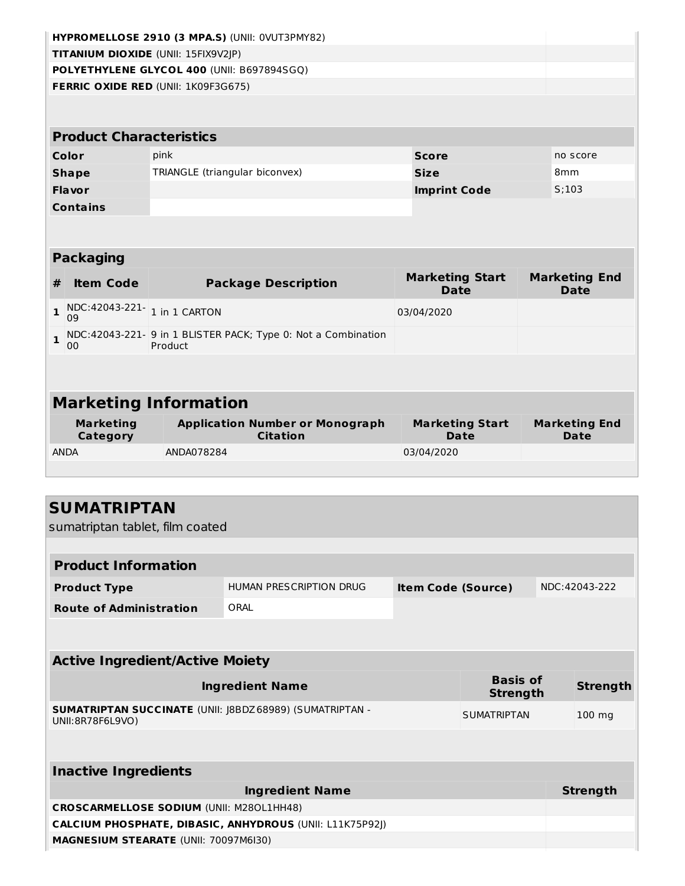|              | HYPROMELLOSE 2910 (3 MPA.S) (UNII: 0VUT3PMY82) |                                                                           |  |                                       |  |                                     |  |  |  |
|--------------|------------------------------------------------|---------------------------------------------------------------------------|--|---------------------------------------|--|-------------------------------------|--|--|--|
|              |                                                | <b>TITANIUM DIOXIDE (UNII: 15FIX9V2JP)</b>                                |  |                                       |  |                                     |  |  |  |
|              | POLYETHYLENE GLYCOL 400 (UNII: B697894SGQ)     |                                                                           |  |                                       |  |                                     |  |  |  |
|              | FERRIC OXIDE RED (UNII: 1K09F3G675)            |                                                                           |  |                                       |  |                                     |  |  |  |
|              |                                                |                                                                           |  |                                       |  |                                     |  |  |  |
|              |                                                |                                                                           |  |                                       |  |                                     |  |  |  |
|              | <b>Product Characteristics</b>                 |                                                                           |  |                                       |  |                                     |  |  |  |
|              | Color                                          | pink                                                                      |  | <b>Score</b>                          |  | no score                            |  |  |  |
|              | <b>Shape</b>                                   | TRIANGLE (triangular biconvex)                                            |  | <b>Size</b>                           |  | 8 <sub>mm</sub>                     |  |  |  |
|              | Flavor                                         |                                                                           |  | <b>Imprint Code</b>                   |  | S:103                               |  |  |  |
|              | <b>Contains</b>                                |                                                                           |  |                                       |  |                                     |  |  |  |
|              |                                                |                                                                           |  |                                       |  |                                     |  |  |  |
|              |                                                |                                                                           |  |                                       |  |                                     |  |  |  |
|              | <b>Packaging</b>                               |                                                                           |  |                                       |  |                                     |  |  |  |
| #            | <b>Item Code</b>                               | <b>Package Description</b>                                                |  | <b>Marketing Start</b><br><b>Date</b> |  | <b>Marketing End</b><br><b>Date</b> |  |  |  |
| $\mathbf{1}$ | NDC:42043-221- 1 in 1 CARTON<br>09             |                                                                           |  | 03/04/2020                            |  |                                     |  |  |  |
| $\mathbf{1}$ | 00                                             | NDC: 42043-221- 9 in 1 BLISTER PACK; Type 0: Not a Combination<br>Product |  |                                       |  |                                     |  |  |  |
|              |                                                |                                                                           |  |                                       |  |                                     |  |  |  |
|              |                                                |                                                                           |  |                                       |  |                                     |  |  |  |
|              | <b>Marketing Information</b>                   |                                                                           |  |                                       |  |                                     |  |  |  |
|              | <b>Marketing</b><br>Category                   | <b>Application Number or Monograph</b><br><b>Citation</b>                 |  | <b>Marketing Start</b><br><b>Date</b> |  | <b>Marketing End</b><br><b>Date</b> |  |  |  |
|              | <b>ANDA</b>                                    | ANDA078284                                                                |  | 03/04/2020                            |  |                                     |  |  |  |
|              |                                                |                                                                           |  |                                       |  |                                     |  |  |  |

| <b>SUMATRIPTAN</b><br>sumatriptan tablet, film coated                        |                                |                           |                                    |  |                 |  |
|------------------------------------------------------------------------------|--------------------------------|---------------------------|------------------------------------|--|-----------------|--|
|                                                                              |                                |                           |                                    |  |                 |  |
| <b>Product Information</b>                                                   |                                |                           |                                    |  |                 |  |
| <b>Product Type</b>                                                          | <b>HUMAN PRESCRIPTION DRUG</b> | <b>Item Code (Source)</b> |                                    |  | NDC:42043-222   |  |
| <b>Route of Administration</b>                                               | ORAL                           |                           |                                    |  |                 |  |
|                                                                              |                                |                           |                                    |  |                 |  |
| <b>Active Ingredient/Active Moiety</b>                                       |                                |                           |                                    |  |                 |  |
|                                                                              | <b>Ingredient Name</b>         |                           | <b>Basis of</b><br><b>Strength</b> |  | <b>Strength</b> |  |
| SUMATRIPTAN SUCCINATE (UNII: J8BDZ 68989) (SUMATRIPTAN -<br>UNII:8R78F6L9VO) |                                |                           | <b>SUMATRIPTAN</b>                 |  | $100$ mg        |  |
|                                                                              |                                |                           |                                    |  |                 |  |
| <b>Inactive Ingredients</b>                                                  |                                |                           |                                    |  |                 |  |
|                                                                              | <b>Ingredient Name</b>         |                           |                                    |  | <b>Strength</b> |  |
| <b>CROSCARMELLOSE SODIUM (UNII: M280L1HH48)</b>                              |                                |                           |                                    |  |                 |  |
| CALCIUM PHOSPHATE, DIBASIC, ANHYDROUS (UNII: L11K75P92J)                     |                                |                           |                                    |  |                 |  |

**MAGNESIUM STEARATE** (UNII: 70097M6I30)